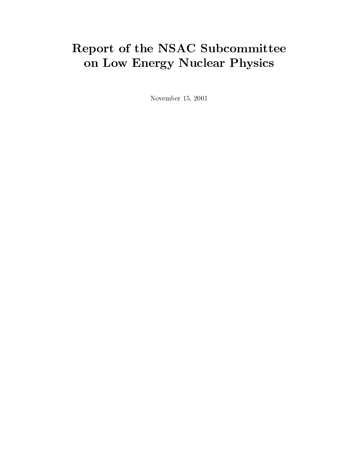# Report of the NSAC Subcommittee on Low Energy Nuclear Physics

November 15, 2001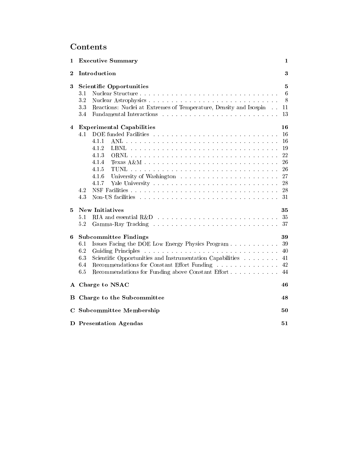# **Contents**

| 1            | <b>Executive Summary</b>                                                                                                                                                                                                                                                                                                                               |                                                                |  |
|--------------|--------------------------------------------------------------------------------------------------------------------------------------------------------------------------------------------------------------------------------------------------------------------------------------------------------------------------------------------------------|----------------------------------------------------------------|--|
| $\bf{2}$     | Introduction                                                                                                                                                                                                                                                                                                                                           |                                                                |  |
| 3            | <b>Scientific Opportunities</b><br>3.1<br>32<br>33<br>Reactions: Nuclei at Extremes of Temperature, Density and Isospin<br>3.4                                                                                                                                                                                                                         |                                                                |  |
| 4            | <b>Experimental Capabilities</b><br>DOE funded Facilities entering the service of the service of the service of the service of the service of the service of the service of the service of the service of the service of the service of the service of the service<br>4.1<br>4.1.1<br>4.1.2<br>4.1.3<br>4.1.4<br>4.1.5<br>4.1.6<br>4.1.7<br>4.2<br>4.3 | 16<br>16<br>16<br>19<br>22<br>26<br>26<br>27<br>28<br>28<br>31 |  |
| 5            | <b>New Initiatives</b><br>5.1<br>5.2                                                                                                                                                                                                                                                                                                                   | 35                                                             |  |
| 6            | <b>Subcommittee Findings</b><br>Issues Facing the DOE Low Energy Physics Program<br>6.1<br>6.2<br>Scientific Opportunities and Instrumentation Capabilities<br>6.3<br>Recommendations for Constant Effort Funding<br>6.4<br>Recommendations for Funding above Constant Effort<br>6.5                                                                   | 39<br>39<br>40<br>41<br>42<br>44                               |  |
| $\mathbf{A}$ | Charge to NSAC                                                                                                                                                                                                                                                                                                                                         | 46                                                             |  |
| в            | Charge to the Subcommittee                                                                                                                                                                                                                                                                                                                             |                                                                |  |
| $\mathbf C$  | Subcommittee Membership                                                                                                                                                                                                                                                                                                                                |                                                                |  |
|              | D Presentation Agendas                                                                                                                                                                                                                                                                                                                                 | 51                                                             |  |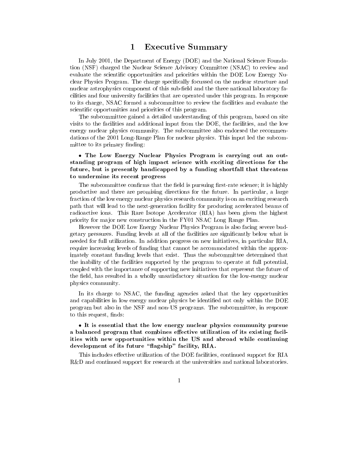### **Executive Summary** 1

In July 2001, the Department of Energy (DOE) and the National Science Foundation (NSF) charged the Nuclear Science Advisory Committee (NSAC) to review and evaluate the scientic opportunities and priorities within the DOE Low Energy Nuclear Physics Program. The charge specifically focussed on the nuclear structure and nuclear astrophysics component of this sub-field and the three national laboratory facilities and four university facilities that are operated under this program. In response to its charge, NSAC formed a subcommittee to review the facilities and evaluate the scientic opportunities and priorities of this program.

The subcommittee gained a detailed understanding of this program, based on site visits to the facilities and additional input from the DOE, the facilities, and the low energy nuclear physics community. The subcommittee also endorsed the recommendations of the 2001 Long-Range Plan for nuclear physics. This input led the subcommittee to its primary finding:

# • The Low Energy Nuclear Physics Program is carrying out an outstanding program of high impact science with exciting directions for the future, but is presently handicapped by a funding shortfall that threatens to undermine its recent progress

The subcommittee confirms that the field is pursuing first-rate science; it is highly productive and there are promising directions for the future. In particular, a large fraction of the low energy nuclear physics research community is on an exciting research path that will lead to the next-generation facility for producing accelerated beams of radioactive ions. This Rare Isotope Accelerator (RIA) has been given the highest priority for ma jor new construction in the FY01 NSAC Long Range Plan.

However the DOE Low Energy Nuclear Physics Program is also facing severe budgetary pressures. Funding levels at all of the facilities are signicantly below what is needed for full utilization. In addition progress on new initiatives, in particular RIA, require increasing levels of funding that cannot be accommodated within the approximately constant funding levels that exist. Thus the subcommittee determined that the inability of the facilities supported by the program to operate at full potential, coupled with the importance of supporting new initiatives that represent the future of the field, has resulted in a wholly unsatisfactory situation for the low-energy nuclear physics community.

In its charge to NSAC, the funding agencies asked that the key opportunities and capabilities in low energy nuclear physics be identified not only within the DOE program but also in the NSF and non-US programs. The subcommittee, in response to this request, finds:

 It is essential that the low energy nuclear physics community pursue a balanced program that combines effective utilization of its existing facilities with new opportunities within the US and abroad while continuing development of its future "flagship" facility, RIA.

This includes effective utilization of the DOE facilities, continued support for RIA R&D and continued support for research at the universities and national laboratories.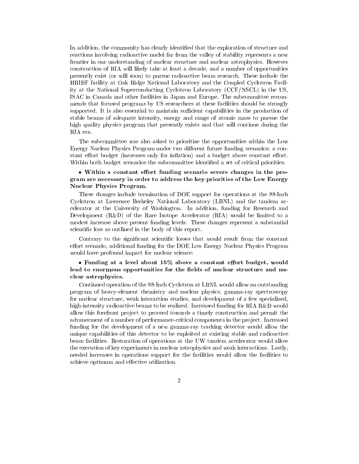In addition, the community has clearly identified that the exploration of structure and reactions involving radioactive nuclei far from the valley of stability represents a new frontier in our understanding of nuclear structure and nuclear astrophysics. However construction of RIA will likely take at least a decade, and a number of opportunities presently exist (or will soon) to pursue radioactive beam research. These include the HRIBF facility at Oak Ridge National Laboratory and the Coupled Cyclotron Facility at the National Superconducting Cyclotron Laboratory (CCF/NSCL) in the US, ISAC in Canada and other facilities in Japan and Europe. The subcommittee recommends that focused programs by US researchers at these facilities should be strongly supported. It is also essential to maintain sufficient capabilities in the production of stable beams of adequate intensity, energy and range of atomic mass to pursue the high quality physics program that presently exists and that will continue during the RIA era.

The subcommittee was also asked to prioritize the opportunities within the Low Energy Nuclear Physics Program under two different future funding scenarios: a constant effort budget (increases only for inflation) and a budget above constant effort. Within both budget scenarios the subcommittee identified a set of critical priorities.

# • Within a constant effort funding scenario severe changes in the program are necessary in order to address the key priorities of the Low Energy Nuclear Physics Program.

These changes include termination of DOE support for operations at the 88-Inch Cyclotron at Lawrence Berkeley National Laboratory (LBNL) and the tandem accelerator at the University of Washington. In addition, funding for Research and Development (R&D) of the Rare Isotope Accelerator (RIA) would be limited to a modest increase above present funding levels. These changes represent a substantial scientic loss as outlined in the body of this report.

Contrary to the significant scientific losses that would result from the constant effort scenario, additional funding for the DOE Low Energy Nuclear Physics Program would have profound impact for nuclear science:

# • Funding at a level about  $15\%$  above a constant effort budget, would lead to enormous opportunities for the fields of nuclear structure and nuclear astrophysics.

Continued operation of the 88-Inch Cyclotron at LBNL would allow an outstanding program of heavy-element chemistry and nuclear physics, gamma-ray spectroscopy for nuclear structure, weak interaction studies, and development of a few specialized, high-intensity radioactive beams to be realized. Increased funding for RIA R&D would allow this forefront project to proceed towards a timely construction and permit the advancement of a number of performance-critical components in the project. Increased funding for the development of a new gamma-ray tracking detector would allow the unique capabilities of this detector to be exploited at existing stable and radioactive beam facilities. Restoration of operations at the UW tandem accelerator would allow the execution of key experiments in nuclear astrophysics and weak interactions. Lastly, needed increases in operations support for the facilities would allow the facilities to achieve optimum and eective utilization.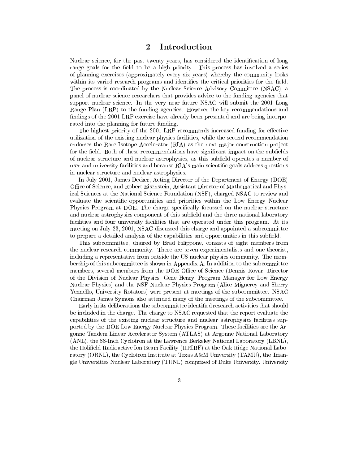### **Introduction**  $\bf{2}$

Nuclear science, for the past twenty years, has considered the identification of long range goals for the field to be a high priority. This process has involved a series of planning exercises (approximately every six years) whereby the community looks within its varied research programs and identifies the critical priorities for the field. The process is coordinated by the Nuclear Science Advisory Committee (NSAC), a panel of nuclear science researchers that provides advice to the funding agencies that support nuclear science. In the very near future NSAC will submit the 2001 Long Range Plan (LRP) to the funding agencies. However the key recommendations and findings of the 2001 LRP exercise have already been presented and are being incorporated into the planning for future funding.

The highest priority of the 2001 LRP recommends increased funding for effective utilization of the existing nuclear physics facilities, while the second recommendation endorses the Rare Isotope Accelerator (RIA) as the next major construction project for the field. Both of these recommendations have significant impact on the subfields of nuclear structure and nuclear astrophysics, as this subfield operates a number of user and university facilities and because RIA's main scientic goals address questions in nuclear structure and nuclear astrophysics.

In July 2001, James Decker, Acting Director of the Department of Energy (DOE) Office of Science, and Robert Eisenstein, Assistant Director of Mathematical and Physical Sciences at the National Science Foundation (NSF), charged NSAC to review and evaluate the scientic opportunities and priorities within the Low Energy Nuclear Physics Program at DOE. The charge specifically focussed on the nuclear structure and nuclear astrophysics component of this subfield and the three national laboratory facilities and four university facilities that are operated under this program. At its meeting on July 23, 2001, NSAC discussed this charge and appointed a subcommittee to prepare a detailed analysis of the capabilities and opportunities in this subfield.

This subcommittee, chaired by Brad Filippone, consists of eight members from the nuclear research community. There are seven experimentalists and one theorist, including a representative from outside the US nuclear physics community. The membership of this subcommittee is shown in Appendix A. In addition to the subcommittee members, several members from the DOE Office of Science (Dennis Kovar, Director of the Division of Nuclear Physics; Gene Henry, Program Manager for Low Energy Nuclear Physics) and the NSF Nuclear Physics Program (Alice Mignerey and Sherry Yennello, University Rotators) were present at meetings of the subcommittee. NSAC Chairman James Symons also attended many of the meetings of the subcommittee.

Early in its deliberations the subcommittee identified research activities that should be included in the charge. The charge to NSAC requested that the report evaluate the capabilities of the existing nuclear structure and nuclear astrophysics facilities supported by the DOE Low Energy Nuclear Physics Program. These facilities are the Argonne Tandem Linear Accelerator System (ATLAS) at Argonne National Laboratory (ANL), the 88-Inch Cyclotron at the Lawrence Berkeley National Laboratory (LBNL), the Holield Radioactive Ion Beam Facility (HRIBF) at the Oak Ridge National Laboratory (ORNL), the Cyclotron Institute at Texas A&M University (TAMU), the Triangle Universities Nuclear Laboratory (TUNL) comprised of Duke University, University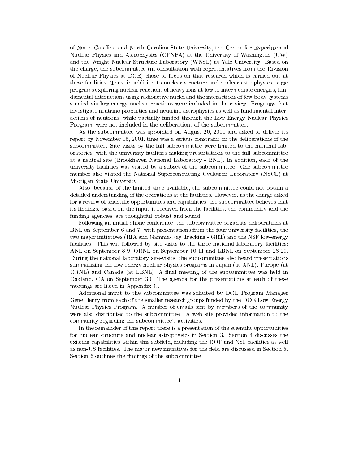of North Carolina and North Carolina State University, the Center for Experimental Nuclear Physics and Astrophysics (CENPA) at the University of Washington (UW) and the Wright Nuclear Structure Laboratory (WNSL) at Yale University. Based on the charge, the subcommittee (in consultation with representatives from the Division of Nuclear Physics at DOE) chose to focus on that research which iscarried out at these facilities. Thus, in addition to nuclear structure and nuclear astrophysics, some programs exploring nuclear reactions of heavy ions at low to intermediate energies, fundamental interactions using radioactive nuclei and the interactions of few-body systems studied via low energy nuclear reactions were included in the review. Programs that investigate neutrino properties and neutrino astrophysics as well as fundamental interactions of neutrons, while partially funded through the Low Energy Nuclear Physics Program, were not included in the deliberations of the subcommittee.

As the subcommittee was appointed on August 20, 2001 and asked to deliver its report by November 15, 2001, time was a serious constraint on the deliberations of the subcommittee. Site visits by the full subcommittee were limited to the national laboratories, with the university facilities making presentations to the full subcommittee at a neutral site (Brookhaven National Laboratory - BNL). In addition, each of the university facilities was visited by a subset of the subcommittee. One subcommittee member also visited the National Superconducting Cyclotron Laboratory (NSCL) at Michigan State University.

Also, because of the limited time available, the subcommittee could not obtain a detailed understanding of the operations at the facilities. However, as the charge asked for a review of scientic opportunities and capabilities, the subcommittee believes that its ndings, based on the input it received from the facilities, the community and the funding agencies, are thoughtful, robust and sound.

Following an initial phone conference, the subcommittee began its deliberations at BNL on September 6 and 7, with presentations from the four university facilities, the two major initiatives (RIA and Gamma-Ray Tracking - GRT) and the NSF low-energy facilities. This was followed by site-visits to the three national laboratory facilities: ANL on September 8-9, ORNL on September 10-11 and LBNL on September 28-29. During the national laboratory site-visits, the subcommittee also heard presentations summarizing the low-energy nuclear physics programs in Japan (at ANL), Europe (at  $\rm ORNL$ ) and Canada (at LBNL). A final meeting of the subcommittee was held in Oakland, CA on September 30. The agenda for the presentations at each of these meetings are listed in Appendix C.

Additional input to the subcommittee was solicited by DOE Program Manager Gene Henry from each of the smaller research groups funded by the DOE Low Energy Nuclear Physics Program. A number of emails sent by members of the community were also distributed to the subcommittee. A web site provided information to the community regarding the subcommittee's activities.

In the remainder of this report there is a presentation of the scientific opportunities for nuclear structure and nuclear astrophysics in Section 3. Section 4 discusses the existing capabilities within this subfield, including the DOE and NSF facilities as well as non-US facilities. The major new initiatives for the field are discussed in Section 5. Section 6 outlines the findings of the subcommittee.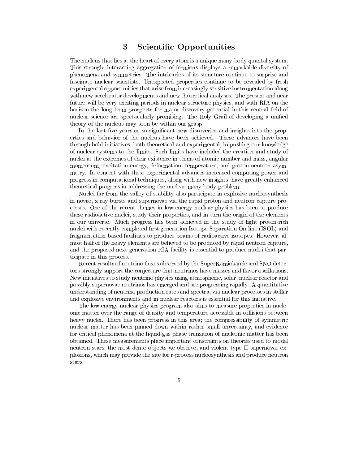### 3 Scientic Opportunities 3

The nucleus that lies at the heart of every atom is a unique many-body quantal system. This strongly interacting aggregation of fermions displays a remarkable diversity of phenomena and symmetries. The intricacies of its structure continue to surprise and fascinate nuclear scientists. Unexpected properties continue to be revealed by fresh experimental opportunities that arise from increasingly sensitive instrumentation along with new accelerator developments and new theoretical analyses. The present and near future will be very exciting periods in nuclear structure physics, and with RIA on the horizon the long term prospects for major discovery potential in this central field of nuclear science are spectacularly promising. The Holy Grail of developing a unied theory of the nucleus may soon be within our grasp.

In the last five years or so significant new discoveries and insights into the properties and behavior of the nucleus have been achieved. These advances have been through bold initiatives, both theoretical and experimental, in pushing our knowledge of nuclear systems to the limits. Such limits have included the creation and study of nuclei at the extremes of their existence in terms of atomic number and mass, angular momentum, excitation energy, deformation, temperature, and proton-neutron asymmetry. In concert with these experimental advances increased computing power and progress in computational techniques, along with new insights, have greatly enhanced theoretical progress in addressing the nuclear many-body problem.

Nuclei far from the valley of stability also participate in explosive nucleosynthesis in novae, x-ray bursts and supernovae via the rapid proton and neutron capture processes. One of the recent themes in low energy nuclear physics has been to produce these radioactive nuclei, study their properties, and in turn the origin of the elements in our universe. Much progress has been achieved in the study of light proton-rich nuclei with recently completed first generation Isotope-Separation On-line (ISOL) and fragmentation-based facilities to produce beams of radioactive isotopes. However, almost half of the heavy elements are believed to be produced by rapid neutron capture, and the proposed next generation RIA facility is essential to produce nuclei that participate in this process.

Recent results of neutrino fluxes observed by the SuperKamiokande and SNO detectors strongly support the conjecture that neutrinos have masses and flavor oscillations. New initiatives to study neutrino physics using atmospheric, solar, nuclear reactor and possibly supernovae neutrinos has emerged and are progressing rapidly. A quantitative understanding of neutrino production rates and spectra, via nuclear processes in stellar and explosive environments and in nuclear reactors is essential for this initiative.

The low energy nuclear physics program also aims to measure properties in nucleonic matter over the range of density and temperature accessible in collisions between heavy nuclei. There has been progress in this area; the compressibility of symmetric nuclear matter has been pinned down within rather small uncertainty, and evidence for critical phenomena at the liquid-gas phase transition of nucleonic matter has been obtained. These measurements place important constraints on theories used to model neutron stars, the most dense objects we observe, and violent type II supernovae explosions, which may provide the site for r-process nucleosynthesis and produce neutron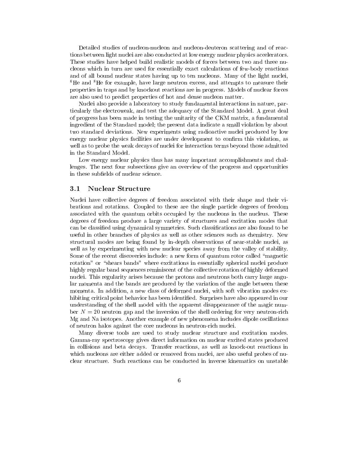Detailed studies of nucleon-nucleon and nucleon-deuteron scattering and of reactions between light nuclei are also conducted at low energy nuclear physics accelerators. These studies have helped build realistic models of forces between two and three nucleons which in turn are used for essentially exact calculations of few-body reactions and of all bound nuclear states having up to ten nucleons. Many of the light nuclei, <sup>6</sup>He and <sup>8</sup>He for example, have large neutron excess, and attempts to measure their properties in traps and by knockout reactions are in progress. Models of nuclear forces are also used to predict properties of hot and dense nucleon matter.

Nuclei also provide a laboratory to study fundamental interactions in nature, particularly the electroweak, and test the adequacy of the Standard Model. A great deal of progress has been made in testing the unitarity of the CKM matrix, a fundamental ingredient of the Standard model; the present data indicate a small violation by about two standard deviations. New experiments using radioactive nuclei produced by low energy nuclear physics facilities are under development to confirm this violation, as well as to probe the weak decays of nuclei for interaction terms beyond those admitted in the Standard Model.

Low energy nuclear physics thus has many important accomplishments and challenges. The next four subsections give an overview of the progress and opportunities in these subfields of nuclear science.

# 3.1 Nuclear Structure

Nuclei have collective degrees of freedom associated with their shape and their vibrations and rotations. Coupled to these are the single particle degrees of freedom associated with the quantum orbits occupied by the nucleons in the nucleus. These degrees of freedom produce a large variety of structures and excitation modes that can be classied using dynamical symmetries. Such classications are also found to be useful in other branches of physics as well as other sciences such as chemistry. New structural modes are being found by in-depth observations of near-stable nuclei, as well as by experimenting with new nuclear species away from the valley of stability. Some of the recent discoveries include: a new form of quantum rotor called "magnetic rotation" or "shears bands" where excitations in essentially spherical nuclei produce highly regular band sequences reminiscent of the collective rotation of highly deformed nuclei. This regularity arises because the protons and neutrons both carry large angular momenta and the bands are produced by the variation of the angle between these momenta. In addition, a new class of deformed nuclei, with soft vibration modes exhibiting critical point behavior has been identied. Surprises have also appeared in our understanding of the shell model with the apparent disappearance of the magic number  $N = 20$  neutron gap and the inversion of the shell ordering for very neutron-rich Mg and Na isotopes. Another example of new phenomena includes dipole oscillations of neutron halos against the core nucleons in neutron-rich nuclei.

Many diverse tools are used to study nuclear structure and excitation modes. Gamma-ray spectroscopy gives direct information on nuclear excited states produced in collisions and beta decays. Transfer reactions, as well as knock-out reactions in which nucleons are either added or removed from nuclei, are also useful probes of nuclear structure. Such reactions can be conducted in inverse kinematics on unstable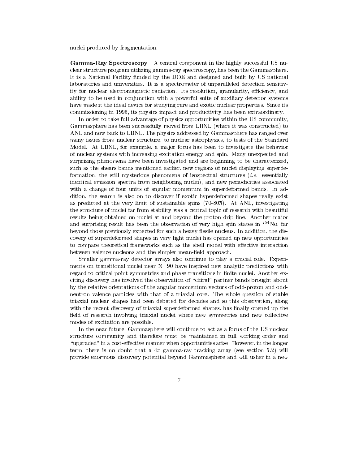nuclei produced by fragmentation.

Gamma-Ray Spectroscopy A central component in the highly successful US nuclear structure program utilizing gamma-ray spectroscopy, has been the Gammasphere. It is a National Facility funded by the DOE and designed and built by US national laboratories and universities. It is a spectrometer of unparalleled detection sensitivity for nuclear electromagnetic radiation. Its resolution, granularity, efficiency, and ability to be used in conjunction with a powerful suite of auxiliary detector systems have made it the ideal device for studying rare and exotic nuclear properties. Since its commissioning in 1995, its physics impact and productivity has been extraordinary.

In order to take full advantage of physics opportunities within the US community, Gammasphere has been successfully moved from LBNL (where it was constructed) to ANL and now back to LBNL. The physics addressed by Gammasphere has ranged over many issues from nuclear structure, to nuclear astrophysics, to tests of the Standard Model. At LBNL, for example, a ma jor focus has been to investigate the behavior of nuclear systems with increasing excitation energy and spin. Many unexpected and surprising phenomena have been investigated and are beginning to be characterized, such as the shears bands mentioned earlier, new regions of nuclei displaying superdeformation, the still mysterious phenomena of isospectral structures  $(i.e.$  essentially identical emission spectra from neighboring nuclei), and new periodicities associated with a change of four units of angular momentum in superdeformed bands. In addition, the search is also on to discover if exotic hyperdeformed shapes really exist as predicted at the very limit of sustainable spins  $(70-80\hbar)$ . At ANL, investigating the structure of nuclei far from stability was a central topic of research with beautiful results being obtained on nuclei at and beyond the proton drip line. Another major and surprising result has been the observation of very high spin states in  $^{254}$ No, far beyond those previously expected for such a heavy fissile nucleus. In addition, the discovery of superdeformed shapes in very light nuclei has opened up new opportunities to compare theoretical frameworks such as the shell model with effective interaction between valence nucleons and the simpler mean-field approach.

Smaller gamma-ray detector arrays also continue to play a crucial role. Experiments on transitional nuclei near  $N=90$  have inspired new analytic predictions with regard to critical point symmetries and phase transitions in finite nuclei. Another exciting discovery has involved the observation of "chiral" partner bands brought about by the relative orientations of the angular momentum vectors of odd-proton and oddneutron valence particles with that of a triaxial core. The whole question of stable triaxial nuclear shapes had been debated for decades and so this observation, along with the recent discovery of triaxial superdeformed shapes, has finally opened up the field of research involving triaxial nuclei where new symmetries and new collective modes of excitation are possible.

In the near future, Gammasphere will continue to act as a focus of the US nuclear structure community and therefore must be maintained in full working order and "upgraded" in a cost-effective manner when opportunities arise. However, in the longer term, there is no doubt that a  $4\pi$  gamma-ray tracking array (see section 5.2) will provide enormous discovery potential beyond Gammasphere and will usher in a new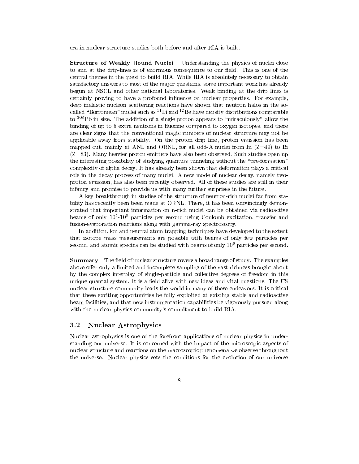era in nuclear structure studies both before and after RIA is built.

**Structure of Weakly Bound Nuclei** Understanding the physics of nuclei close to and at the drip-lines is of enormous consequence to our field. This is one of the central themes in the quest to build RIA. While RIA is absolutely necessary to obtain satisfactory answers to most of the major questions, some important work has already begun at NSCL and other national laboratories. Weak binding at the drip lines is certainly proving to have a profound influence on nuclear properties. For example, deep inelastic nucleon scattering reactions have shown that neutron halos in the socalled "Borromean" nuclei such as  ${}^{11}$ Li and  ${}^{12}$ Be have density distributions comparable to <sup>208</sup>Pb in size. The addition of a single proton appears to "miraculously" allow the binding of up to 5 extra neutrons in fluorine compared to oxygen isotopes, and there are clear signs that the conventional magic numbers of nuclear structure may not be applicable away from stability. On the proton drip line, proton emission has been mapped out, mainly at ANL and ORNL, for all odd-A nuclei from In  $(Z=49)$  to Bi (Z=83). Many heavier proton emitters have also been observed. Such studies open up the interesting possibility of studying quantum tunneling without the "pre-formation" complexity of alpha decay. It has already been shown that deformation plays a critical role in the decay process of many nuclei. A new mode of nuclear decay, namely twoproton emission, has also been recently observed. All of these studies are still in their infancy and promise to provide us with many further surprises in the future.

A key breakthrough in studies of the structure of neutron-rich nuclei far from stability has recently been been made at ORNL. There, it has been convincingly demonstrated that important information on n-rich nuclei can be obtained via radioactive beams of only 105 -106 particles per second using Coulomb excitation, transfer and fusion-evaporation reactions along with gamma-ray spectroscopy.

In addition, ion and neutral atom trapping techniques have developed to the extent that isotope mass measurements are possible with beams of only few particles per second, and atomic spectra can be studied with beams of only  $10<sup>6</sup>$  particles per second.

Summary The field of nuclear structure covers a broad range of study. The examples above offer only a limited and incomplete sampling of the vast richness brought about by the complex interplay of single-particle and collective degrees of freedom in this unique quantal system. It is a field alive with new ideas and vital questions. The US nuclear structure community leads the world in many of these endeavors. It is critical that these exciting opportunities be fully exploited at existing stable and radioactive beam facilities, and that new instrumentation capabilities be vigorously pursued along with the nuclear physics community's commitment to build RIA.

# 3.2 Nuclear Astrophysics

Nuclear astrophysics is one of the forefront applications of nuclear physics in understanding our universe. It is concerned with the impact of the microscopic aspects of nuclear structure and reactions on the macroscopic phenomena we observe throughout the universe. Nuclear physics sets the conditions for the evolution of our universe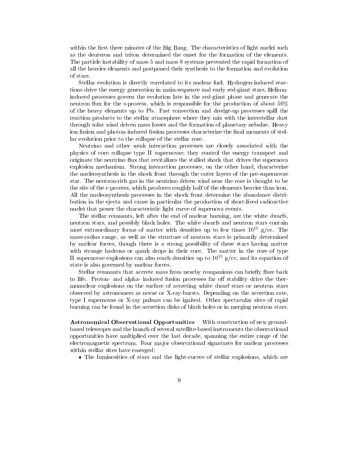within the first three minutes of the Big Bang. The characteristics of light nuclei such as the deuteron and triton determined the onset for the formation of the elements. The particle instability of mass 5 and mass 8 systems prevented the rapid formation of all the heavier elements and postponed their synthesis to the formation and evolution of stars.

Stellar evolution is directly correlated to its nuclear fuel. Hydrogen-induced reactions drive the energy generation in main-sequence and early red-giant stars, Heliuminduced processes govern the evolution late in the red-giant phase and generate the neutron flux for the s-process, which is responsible for the production of about 50% of the heavy elements up to Pb. Fast convection and dredge-up processes spill the reaction products to the stellar atmosphere where they mix with the interstellar dust through solar wind driven mass losses and the formation of planetary nebulae. Heavy ion fusion and photon-induced fission processes characterize the final moments of stellar evolution prior to the collapse of the stellar core.

Neutrino and other weak interaction processes are closely associated with the physics of core collapse type II supernovae; they control the energy transport and originate the neutrino flux that revitalizes the stalled shock that drives the supernova explosion mechanism. Strong interaction processes, on the other hand, characterize the nucleosynthesis in the shock front through the outer layers of the pre-supernovae star. The neutron-rich gas in the neutrino driven wind near the core is thought to be the site of the r-process, which produces roughly half of the elements heavier than iron. All the nucleosynthesis processes in the shock front determine the abundance distribution in the ejecta and cause in particular the production of short-lived radioactive nuclei that power the characteristic light curve of supernova events.

The stellar remnants, left after the end of nuclear burning, are the white dwarfs, neutron stars, and possibly black holes. The white dwarfs and neutron stars contain most extraordinary forms of matter with densities up to few times  $10^{15}$  g/cc. The mass-radius range, as well as the structure of neutron stars is primarily determined by nuclear forces, though there is a strong possibility of these stars having matter with strange hadrons or quark drops in their core. The matter in the core of type II supernovae explosions can also reach densities up to  $10^{15}$  g/cc, and its equation of state is also governed by nuclear forces.

Stellar remnants that accrete mass from nearby companions can briefly flare back to life. Proton- and alpha- induced fusion processes far off stability drive the thermonuclear explosions on the surface of accreting white dwarf stars or neutron stars observed by astronomers as novae or X-ray-bursts. Depending on the accretion rate, type I supernovae or X-ray pulsars can be ignited. Other spectacular sites of rapid burning can be found in the accretion disks of black holes or in merging neutron stars.

Astronomical Observational Opportunities With construction of new groundbased telescopes and the launch of several satellite-based instruments the observational opportunities have multiplied over the last decade, spanning the entire range of the electromagnetic spectrum. Four ma jor observational signatures for nuclear processes within stellar sites have emerged:

The luminosities of stars and the light-curves of stellar explosions, which are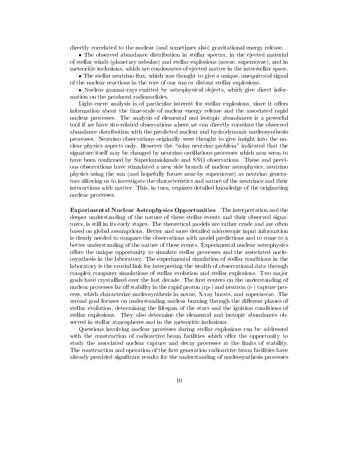directly correlated to the nuclear (and sometimes also) gravitational energy release.

 The observed abundance distribution in stellar spectra, in the ejected material of stellar winds (planetary nebulae) and stellar explosions (novae, supernovae), and in meteoritic inclusions, which are condensates of ejected matter in the interstellar space.

• The stellar neutrino flux, which was thought to give a unique, unequivocal signal of the nuclear reactions in the core of our sun or distant stellar explosions.

• Nuclear gamma-rays emitted by astrophysical objects, which give direct information on the produced radionuclides.

Light-curve analysis is of particular interest for stellar explosions, since it offers information about the time-scale of nuclear energy release and the associated rapid nuclear processes. The analysis of elemental and isotopic abundances is a powerful tool if we have site-related observations where we can directly correlate the observed abundance distribution with the predicted nuclear and hydrodynamic nucleosynthesis processes. Neutrino observations originally were thought to give insight into the nuclear physics aspects only. However the "solar neutrino problem" indicated that the signature itself may be changed by neutrino oscillations processes which now seem to have been confirmed by Superkamiokande and SNO observations. These and previous observations have stimulated a new side branch of nuclear astrophysics, neutrino physics using the sun (and hopefully future near-by supernovae) as neutrino generators allowing us to investigate the characteristics and nature of the neutrinos and their interactions with matter. This, in turn, requires detailed knowledge of the originating nuclear processes.

Experimental Nuclear Astrophysics Opportunities The interpretation and the deeper understanding of the nature of these stellar events and their observed signatures, is still in its early stages. The theoretical models are rather crude and are often based on global assumptions. Better and more detailed microscopic input information is clearly needed to compare the observations with model predictions and to come to a better understanding of the nature of these events. Experimental nuclear astrophysics offers the unique opportunity to simulate stellar processes and the associated nucleosynthesis in the laboratory. The experimental simulation of stellar conditions in the laboratory is the crucial link for interpreting the wealth of observational data through complex computer simulations of stellar evolution and stellar explosions. Two major goals have crystallized over the last decade. The first centers on the understanding of nuclear processes far off stability in the rapid proton  $(\text{rp-})$  and neutron  $(\text{r-})$  capture process, which characterize nucleosynthesis in novae, X-ray bursts, and supernovae. The second goal focuses on understanding nuclear burning through the different phases of stellar evolution, determining the lifespan of the stars and the ignition conditions of stellar explosions. They also determine the elemental and isotopic abundances observed in stellar atmospheres and in the meteoritic inclusions.

Questions involving nuclear processes during stellar explosions can be addressed with the construction of radioactive beam facilities which offer the opportunity to study the associated nuclear capture and decay processes at the limits of stability. The construction and operation of the first generation radioactive beam facilities have already provided signicant results for the understanding of nucleosynthesis processes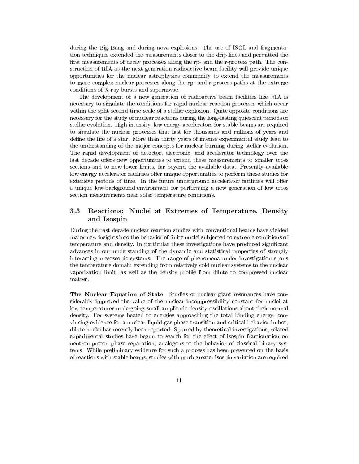during the Big Bang and during nova explosions. The use of ISOL and fragmentation techniques extended the measurements closer to the drip lines and permitted the first measurements of decay processes along the rp- and the r-process path. The construction of RIA as the next generation radioactive beam facility will provide unique opportunities for the nuclear astrophysics community to extend the measurements to more complex nuclear processes along the rp- and r-process paths at the extreme conditions of X-ray bursts and supernovae.

The development of a new generation of radioactive beam facilities like RIA is necessary to simulate the conditions for rapid nuclear reaction processes which occur within the split-second time-scale of a stellar explosion. Quite opposite conditions are necessary for the study of nuclear reactions during the long-lasting quiescent periods of stellar evolution. High intensity, low energy accelerators for stable beams are required to simulate the nuclear processes that last for thousands and millions of years and define the life of a star. More than thirty years of intense experimental study lead to the understanding of the ma jor concepts for nuclear burning during stellar evolution. The rapid development of detector, electronic, and accelerator technology over the last decade offers new opportunities to extend these measurements to smaller cross sections and to new lower limits, far beyond the available data. Presently available low energy accelerator facilities offer unique opportunities to perform these studies for extensive periods of time. In the future underground accelerator facilities will offer a unique low-background environment for performing a new generation of low cross section measurements near solar temperature conditions.

### $3.3$ Reactions: Nuclei at Extremes of Temperature, Density and Isospin

During the past decade nuclear reaction studies with conventional beams have yielded major new insights into the behavior of finite nuclei subjected to extreme conditions of temperature and density. In particular these investigations have produced signicant advances in our understanding of the dynamic and statistical properties of strongly interacting mesoscopic systems. The range of phenomena under investigation spans the temperature domain extending from relatively cold nuclear systems to the nuclear vaporization limit, as well as the density profile from dilute to compressed nuclear matter.

The Nuclear Equation of State Studies of nuclear giant resonances have considerably improved the value of the nuclear incompressibility constant for nuclei at low temperatures undergoing small amplitude density oscillations about their normal density. For systems heated to energies approaching the total binding energy, convincing evidence for a nuclear liquid-gas phase transition and critical behavior in hot, dilute nuclei has recently been reported. Spurred by theoretical investigations, related experimental studies have begun to search for the effect of isospin fractionation on neutron-proton phase separation, analogous to the behavior of classical binary systems. While preliminary evidence for such a process has been presented on the basis of reactions with stable beams, studies with much greater isospin variation are required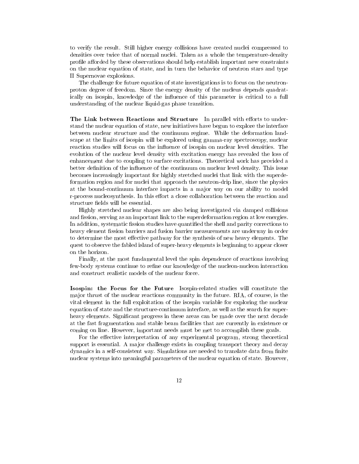to verify the result. Still higher energy collisions have created nuclei compressed to densities over twice that of normal nuclei. Taken as a whole the temperature-density profile afforded by these observations should help establish important new constraints on the nuclear equation of state, and in turn the behavior of neutron stars and type II Supernovae explosions.

The challenge for future equation of state investigations is to focus on the neutronproton degree of freedom. Since the energy density of the nucleus depends quadratically on isospin, knowledge of the influence of this parameter is critical to a full understanding of the nuclear liquid-gas phase transition.

The Link between Reactions and Structure In parallel with efforts to understand the nuclear equation of state, new initiatives have begun to explore the interface between nuclear structure and the continuum regime. While the deformation landscape at the limits of isospin will be explored using gamma-ray spectroscopy, nuclear reaction studies will focus on the influence of isospin on nuclear level densities. The evolution of the nuclear level density with excitation energy has revealed the loss of enhancement due to coupling to surface excitations. Theoretical work has provided a better definition of the influence of the continuum on nuclear level density. This issue becomes increasingly important for highly stretched nuclei that link with the superdeformation region and for nuclei that approach the neutron-drip line, since the physics at the bound-continuum interface impacts in a major way on our ability to model r-process nucleosynthesis. In this effort a close collaboration between the reaction and structure fields will be essential.

Highly stretched nuclear shapes are also being investigated via damped collisions and fission, serving as an important link to the superdeformation region at low energies. In addition, systematic fission studies have quantified the shell and parity corrections to heavy element fission barriers and fusion barrier measurements are underway in order to determine the most effective pathway for the synthesis of new heavy elements. The quest to observe the fabled island of super-heavy elements is beginning to appear closer on the horizon.

Finally, at the most fundamental level the spin dependence of reactions involving few-body systems continue to refine our knowledge of the nucleon-nucleon interaction and construct realistic models of the nuclear force.

Isospin: the Focus for the Future Isospin-related studies will constitute the ma jor thrust of the nuclear reactions community in the future. RIA, of course, is the vital element in the full exploitation of the isospin variable for exploring the nuclear equation of state and the structure-continuum interface, as well as the search for superheavy elements. Signicant progress in these areas can be made over the next decade at the fast fragmentation and stable beam facilities that are currently in existence or coming on line. However, important needs must be met to accomplish these goals.

For the effective interpretation of any experimental program, strong theoretical support is essential. A major challenge exists in coupling transport theory and decay dynamics in a self-consistent way. Simulations are needed to translate data from finite nuclear systems into meaningful parameters of the nuclear equation of state. However,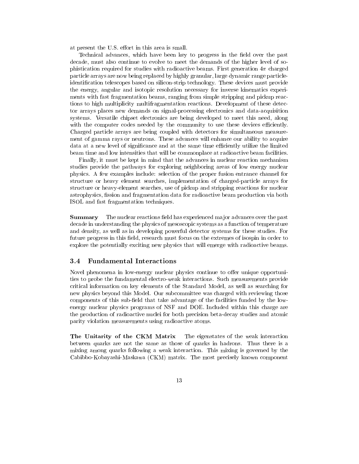at present the U.S. effort in this area is small.

Technical advances, which have been key to progress in the field over the past decade, must also continue to evolve to meet the demands of the higher level of sophistication required for studies with radioactive beams. First generation  $4\pi$  charged particle arrays are now being replaced by highly granular, large dynamic range particleidentification telescopes based on silicon-strip technology. These devices must provide the energy, angular and isotopic resolution necessary for inverse kinematics experiments with fast fragmentation beams, ranging from simple stripping and pickup reactions to high multiplicity multifragmentation reactions. Development of these detector arrays places new demands on signal-processing electronics and data-acquisition systems. Versatile chipset electronics are being developed to meet this need, along with the computer codes needed by the community to use these devices efficiently. Charged particle arrays are being coupled with detectors for simultaneous measurement of gamma rays or neutrons. These advances will enhance our ability to acquire data at a new level of significance and at the same time efficiently utilize the limited beam time and low intensities that will be commonplace at radioactive beam facilities.

Finally, it must be kept in mind that the advances in nuclear reaction mechanism studies provide the pathways for exploring neighboring areas of low energy nuclear physics. A few examples include: selection of the proper fusion entrance channel for structure or heavy element searches, implementation of charged-particle arrays for structure or heavy-element searches, use of pickup and stripping reactions for nuclear astrophysics, fission and fragmentation data for radioactive beam production via both ISOL and fast fragmentation techniques.

Summary The nuclear reactions field has experienced major advances over the past decade in understanding the physics of mesoscopic systems as a function of temperature and density, as well as in developing powerful detector systems for these studies. For future progress in this field, research must focus on the extremes of isospin in order to explore the potentially exciting new physics that will emerge with radioactive beams.

# 3.4 Fundamental Interactions

Novel phenomena in low-energy nuclear physics continue to offer unique opportunities to probe the fundamental electro-weak interactions. Such measurements provide critical information on key elements of the Standard Model, as well as searching for new physics beyond this Model. Our subcommittee was charged with reviewing those components of this sub-field that take advantage of the facilities funded by the lowenergy nuclear physics programs of NSF and DOE. Included within this charge are the production of radioactive nuclei for both precision beta-decay studies and atomic parity violation measurements using radioactive atoms.

The Unitarity of the CKM Matrix The eigenstates of the weak interaction between quarks are not the same as those of quarks in hadrons. Thus there is a mixing among quarks following a weak interaction. This mixing is governed by the Cabibbo-Kobayashi-Maskawa (CKM) matrix. The most precisely known component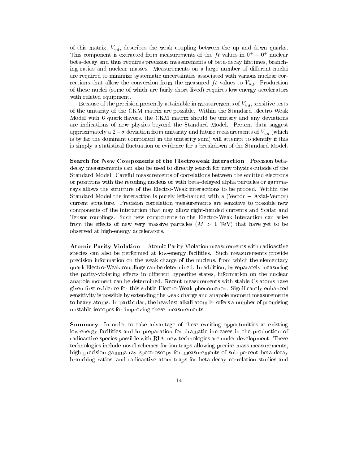of this matrix,  $V_{ud}$ , describes the weak coupling between the up and down quarks. This component is extracted from measurements of the  $f t$  values in  $0+0+$  nuclear beta-decay and thus requires precision measurements of beta-decay lifetimes, branching ratios and nuclear masses. Measurements on a large number of different nuclei are required to minimize systematic uncertainties associated with various nuclear corrections that allow the conversion from the measured  $ft$  values to  $V_{ud}$ . Production of these nuclei (some of which are fairly short-lived) requires low-energy accelerators with related equipment.

Because of the precision presently attainable in measurements of  $V_{ud}$ , sensitive tests of the unitarity of the CKM matrix are possible. Within the Standard Electro-Weak Model with 6 quark flavors, the CKM matrix should be unitary and any deviations are indications of new physics beyond the Standard Model. Present data suggest approximately a  $2-\sigma$  deviation from unitarity and future measurements of  $V_{ud}$  (which is by far the dominant component in the unitarity sum) will attempt to identify if this is simply a statistical fluctuation or evidence for a breakdown of the Standard Model.

Search for New Components of the Electroweak Interaction Precision betadecay measurements can also be used to directly search for new physics outside of the Standard Model. Careful measurements of correlations between the emitted electrons or positrons with the recoiling nucleus or with beta-delayed alpha particles or gammarays allows the structure of the Electro-Weak interactions to be probed. Within the Standard Model the interaction is purely left-handed with a (Vector  $-$  Axial-Vector) current structure. Precision correlation measurements are sensitive to possible new components of the interaction that may allow right-handed currents and Scalar and Tensor couplings. Such new components to the Electro-Weak interaction can arise from the effects of new very massive particles  $(M > 1$  TeV) that have yet to be observed at high-energy accelerators.

Atomic Parity Violation Atomic Parity Violation measurements with radioactive species can also be performed at low-energy facilities. Such measurements provide precision information on the weak charge of the nucleus, from which the elementary quark Electro-Weak couplings can be determined. In addition, by separately measuring the parity-violating effects in different hyperfine states, information on the nuclear anapole moment can be determined. Recent measurements with stable Cs atoms have given first evidence for this subtle Electro-Weak phenomenon. Significantly enhanced sensitivity is possible by extending the weak charge and anapole moment measurements to heavy atoms. In particular, the heaviest alkali atom Fr offers a number of promising unstable isotopes for improving these measurements.

**Summary** In order to take advantage of these exciting opportunities at existing low-energy facilities and in preparation for dramatic increases in the production of radioactive species possible with RIA, new technologies are under development. These technologies include novel schemes for ion traps allowing precise mass measurements, high precision gamma-ray spectroscopy for measurements of sub-percent beta-decay branching ratios, and radioactive atom traps for beta-decay correlation studies and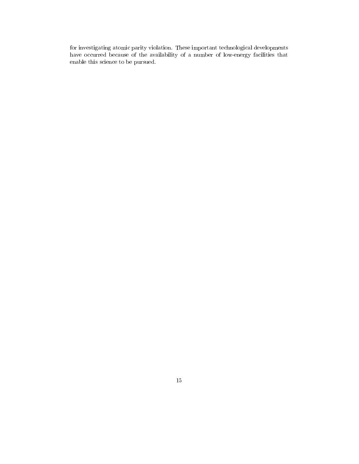for investigating atomic parity violation. These important technological developments have occurred because of the availability of a number of low-energy facilities that enable this science to be pursued.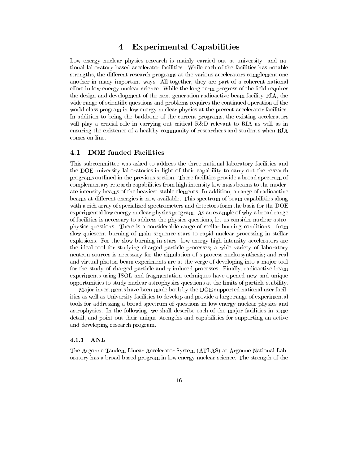### Experimental Capabilities  $\bf{4}$

Low energy nuclear physics research is mainly carried out at university- and national laboratory-based accelerator facilities. While each of the facilities has notable strengths, the different research programs at the various accelerators complement one another in many important ways. All together, they are part of a coherent national effort in low energy nuclear science. While the long-term progress of the field requires the design and development of the next generation radioactive beam facility RIA, the wide range of scientific questions and problems requires the continued operation of the world-class program in low energy nuclear physics at the present accelerator facilities. In addition to being the backbone of the current programs, the existing accelerators will play a crucial role in carrying out critical R&D relevant to RIA as well as in ensuring the existence of a healthy community of researchers and students when RIA comes on-line.

#### DOE funded Facilities  $4.1\,$

This subcommittee was asked to address the three national laboratory facilities and the DOE university laboratories in light of their capability to carry out the research programs outlined in the previous section. These facilities provide a broad spectrum of complementary research capabilities from high intensity low mass beams to the moderate intensity beams of the heaviest stable elements. In addition, a range of radioactive beams at different energies is now available. This spectrum of beam capabilities along with a rich array of specialized spectrometers and detectors form the basis for the DOE experimental low energy nuclear physics program. As an example of why a broad range of facilities is necessary to address the physics questions, let us consider nuclear astrophysics questions. There is a considerable range of stellar burning conditions - from slow quiescent burning of main sequence stars to rapid nuclear processing in stellar explosions. For the slow burning in stars: low energy high intensity accelerators are the ideal tool for studying charged particle processes; a wide variety of laboratory neutron sources is necessary for the simulation of s-process nucleosynthesis; and real and virtual photon beam experiments are at the verge of developing into a major tool for the study of charged particle and  $\gamma$ -induced processes. Finally, radioactive beam experiments using ISOL and fragmentation techniques have opened new and unique opportunities to study nuclear astrophysics questions at the limits of particle stability.

Ma jor investments have been made both by the DOE supported national user facilities as well as University facilities to develop and provide a large range of experimental tools for addressing a broad spectrum of questions in low energy nuclear physics and astrophysics. In the following, we shall describe each of the major facilities in some detail, and point out their unique strengths and capabilities for supporting an active and developing research program.

### 4.1.1 ANL

The Argonne Tandem Linear Accelerator System (ATLAS) at Argonne National Laboratory has a broad-based program in low energy nuclear science. The strength of the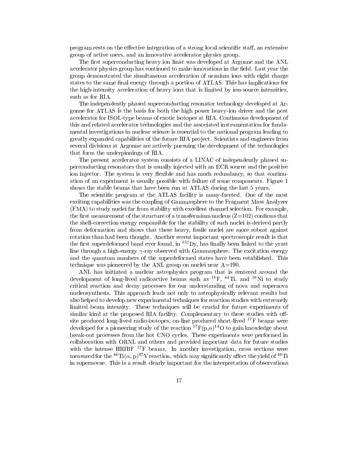program rests on the effective integration of a strong local scientific staff, an extensive group of active users, and an innovative accelerator physics group.

The first superconducting heavy ion linac was developed at Argonne and the ANL accelerator physics group has continued to make innovations in the field. Last year the group demonstrated the simultaneous acceleration of uranium ions with eight charge states to the same final energy through a portion of ATLAS. This has implications for the high-intensity acceleration of heavy ions that is limited by ion-source intensities, such as for RIA.

The independently phased superconducting resonator technology developed at Argonne for ATLAS is the basis for both the high power heavy-ion driver and the post accelerator for ISOL-type beams of exotic isotopes at RIA. Continuous development of this and related accelerator technologies and the associated instrumentation for fundamental investigations in nuclear science is essential to the national program leading to greatly expanded capabilities of the future RIA project. Scientists and engineers from several divisions at Argonne are actively pursuing the development of the technologies that form the underpinnings of RIA.

The present accelerator system consists of a LINAC of independently phased superconducting resonators that is usually injected with an ECR source and the positive ion injector. The system is very flexible and has much redundancy, so that continuation of an experiment is usually possible with failure of some components. Figure 1 shows the stable beams that have been run at ATLAS during the last 5 years.

The scientic program at the ATLAS facility is many-faceted. One of the most exciting capabilities was the coupling of Gammasphere to the Fragment Mass Analyzer (FMA) to study nuclei far from stability with excellent channel selection. For example, the first measurement of the structure of a transfermium nucleus  $(Z=102)$  confirms that the shell-correction energy responsible for the stability of such nuclei is derived partly from deformation and shows that these heavy, fissile nuclei are more robust against rotation than had been thought. Another recent important spectroscopic result is that the first superdeformed band ever found, in  ${}^{152}D_y$ , has finally been linked to the yrast line through a high-energy  $\gamma$ -ray observed with Gammasphere. The excitation energy and the quantum numbers of the superdeformed states have been established. This technique was pioneered by the ANL group on nuclei near  $A=190$ .

ANL has initiated a nuclear astrophysics program that is centered around the development of long-lived radioactive beams such as  $^{18}F$ ,  $^{44}Ti$ , and  $^{56}Ni$  to study critical reaction and decay processes for our understanding of nova and supernova nucleosynthesis. This approach leads not only to astrophysically relevant results but also helped to develop new experimental techniques for reaction studies with extremely limited beam intensity. These techniques will be crucial for future experiments of similar kind at the proposed RIA facility. Complementary to these studies with offsite produced long-lived radio-isotopes, on-line produced short-lived  $^{17}$ F beams were developed for a pioneering study of the reaction  ${}^{17}F(p,\alpha){}^{14}O$  to gain knowledge about break-out processes from the hot CNO cycles. These experiments were performed in collaboration with ORNL and others and provided important data for future studies with the intense HRIBF <sup>17</sup>F beams. In another investigation, cross sections were measured for the <sup>44</sup>Ti( $\alpha$ , p)<sup>47</sup>V reaction, which may significantly affect the yield of <sup>44</sup>Ti in supernovae. This is a result clearly important for the interpretation of observations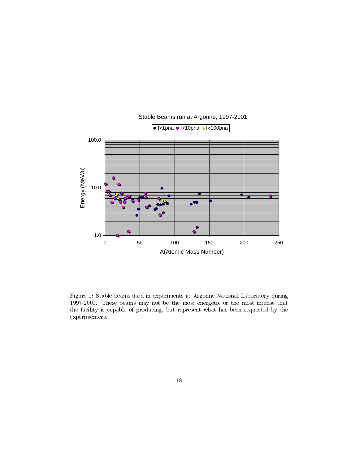

Stable Beams run at Argonne, 1997-2001

Figure 1: Stable beams used in experiments at Argonne National Laboratory during 1997-2001. These beams may not be the most energetic or the most intense that the facility is capable of producing, but represent what has been requested by the experimenters.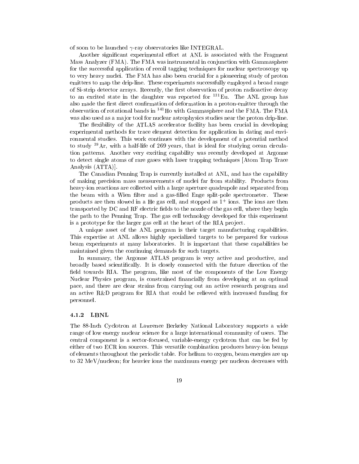of soon to be launched  $\gamma$ -ray observatories like INTEGRAL.

Another significant experimental effort at ANL is associated with the Fragment Mass Analyzer (FMA). The FMA was instrumental in conjunction with Gammasphere for the successful application of recoil tagging techniques for nuclear spectroscopy up to very heavy nuclei. The FMA has also been crucial for a pioneering study of proton emitters to map the drip-line. These experiments successfully employed a broad range of Si-strip detector arrays. Recently, the first observation of proton radioactive decay to an excited state in the daughter was reported for <sup>131</sup>Eu. The ANL group has also made the first direct confirmation of deformation in a proton-emitter through the observation of rotational bands in 141Ho with Gammasphere and the FMA. The FMA was also used as a major tool for nuclear astrophysics studies near the proton drip-line.

The flexibility of the ATLAS accelerator facility has been crucial in developing experimental methods for trace element detection for application in dating and environmental studies. This work continues with the development of a potential method to study 39Ar, with a half-life of 269 years, that is ideal for studying ocean circulation patterns. Another very exciting capability was recently developed at Argonne to detect single atoms of rare gases with laser trapping techniques [Atom Trap Trace Analysis (ATTA)].

The Canadian Penning Trap is currently installed at ANL, and has the capability of making precision mass measurements of nuclei far from stability. Products from heavy-ion reactions are collected with a large aperture quadrupole and separated from the beam with a Wien filter and a gas-filled Enge split-pole spectrometer. These products are then slowed in a He gas cell, and stopped as 1+ ions. The ions are then transported by  $DC$  and  $RF$  electric fields to the nozzle of the gas cell, where they begin the path to the Penning Trap. The gas cell technology developed for this experiment is a prototype for the larger gas cell at the heart of the RIA project.

A unique asset of the ANL program is their target manufacturing capabilities. This expertise at ANL allows highly specialized targets to be prepared for various beam experiments at many laboratories. It is important that these capabilities be maintained given the continuing demands for such targets.

In summary, the Argonne ATLAS program is very active and productive, and broadly based scientically. It is closely connected with the future direction of the field towards RIA. The program, like most of the components of the Low Energy Nuclear Physics program, is constrained nancially from developing at an optimal pace, and there are clear strains from carrying out an active research program and an active R&D program for RIA that could be relieved with increased funding for personnel.

### 4.1.2 LBNL

The 88-Inch Cyclotron at Lawrence Berkeley National Laboratory supports a wide range of low energy nuclear science for a large international community of users. The central component is a sector-focused, variable-energy cyclotron that can be fed by either of two ECR ion sources. This versatile combination produces heavy-ion beams of elements throughout the periodic table. For helium to oxygen, beam energies are up to 32 MeV/nucleon; for heavier ions the maximum energy per nucleon decreases with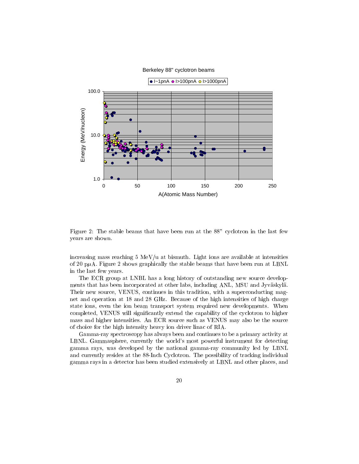### Berkeley 88" cyclotron beams



Figure 2: The stable beams that have been run at the 88" cyclotron in the last few years are shown.

increasing mass reaching  $5 \text{ MeV/u}$  at bismuth. Light ions are available at intensities of 20 p $\mu$ A. Figure 2 shows graphically the stable beams that have been run at LBNL in the last few years.

The ECR group at LNBL has a long history of outstanding new source developments that has been incorporated at other labs, including ANL, MSU and Jyvaskyla. Their new source, VENUS, continues in this tradition, with a superconducting magnet and operation at 18 and 28 GHz. Because of the high intensities of high charge state ions, even the ion beam transport system required new developments. When completed, VENUS will signicantly extend the capability of the cyclotron to higher mass and higher intensities. An ECR source such as VENUS may also be the source of choice for the high intensity heavy ion driver linac of RIA.

Gamma-ray spectroscopy has always been and continues to be a primary activity at LBNL. Gammasphere, currently the world's most powerful instrument for detecting gamma rays, was developed by the national gamma-ray community led by LBNL and currently resides at the 88-Inch Cyclotron. The possibility of tracking individual gamma rays in a detector has been studied extensively at LBNL and other places, and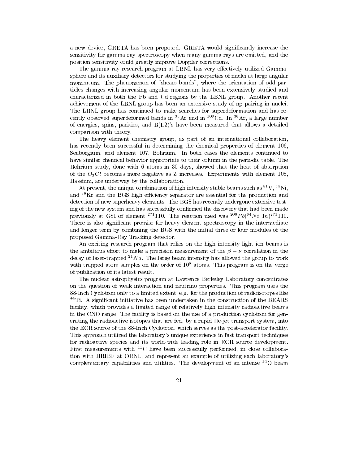a new device, GRETA has been proposed. GRETA would significantly increase the sensitivity for gamma ray spectroscopy when many gamma rays are emitted, and the position sensitivity could greatly improve Doppler corrections.

The gamma ray research program at LBNL has very effectively utilized Gammasphere and its auxiliary detectors for studying the properties of nuclei at large angular momentum. The phenomenon of "shears bands", where the orientation of odd particles changes with increasing angular momentum has been extensively studied and characterized in both the Pb and Cd regions by the LBNL group. Another recent achievement of the LBNL group has been an extensive study of np pairing in nuclei. The LBNL group has continued to make searches for superdeformation and has recently observed superdeformed bands in  ${}^{36}Ar$  and in  ${}^{108}Cd$ . In  ${}^{36}Ar$ , a large number of energies, spins, parities, and  $B(E2)'$  have been measured that allows a detailed comparison with theory.

The heavy element chemistry group, as part of an international collaboration, has recently been successful in determining the chemical properties of element 106, Seaborgium, and element 107, Bohrium. In both cases the elements continued to have similar chemical behavior appropriate to their column in the periodic table. The Bohrium study, done with 6 atoms in 30 days, showed that the heat of absorption of the  $O_3Cl$  becomes more negative as Z increases. Experiments with element 108, Hassium, are underway by the collaboration.

At present, the unique combination of high intensity stable beams such as  ${}^{51}V, {}^{64}Ni,$ and  ${}^{86}\text{Kr}$  and the BGS high efficiency separator are essential for the production and detection of new superheavy elements. The BGS has recently undergone extensive testing of the new system and has successfully confirmed the discovery that had been made previously at GSI of element <sup>271</sup>110. The reaction used was <sup>208</sup> $Pb(^{64}Ni, 1n)^{271}110$ . There is also signicant promise for heavy element spectroscopy in the intermediate and longer term by combining the BGS with the initial three or four modules of the proposed Gamma-Ray Tracking detector.

An exciting research program that relies on the high intensity light ion beams is the ambitious effort to make a precision measurement of the  $\beta - \nu$  correlation in the decay of laser-trapped  $^{21}Na$ . The large beam intensity has allowed the group to work with trapped atom samples on the order of  $10<sup>6</sup>$  atoms. This program is on the verge of publication of its latest result.

The nuclear astrophysics program at Lawrence Berkeley Laboratory concentrates on the question of weak interaction and neutrino properties. This program uses the 88-Inch Cyclotron only to a limited extent, e.g. for the production of radioisotopes like  $^{44}$ Ti. A significant initiative has been undertaken in the construction of the BEARS facility, which provides a limited range of relatively high intensity radioactive beams in the CNO range. The facility is based on the use of a production cyclotron for generating the radioactive isotopes that are fed, by a rapid He-jet transport system, into the ECR source of the 88-Inch Cyclotron, which serves as the post-accelerator facility. This approach utilized the laboratory's unique experience in fast transport techniques for radioactive species and its world-wide leading role in ECR source development. First measurements with <sup>11</sup>C have been successfully performed, in close collaboration with HRIBF at ORNL, and represent an example of utilizing each laboratory's complementary capabilities and utilities. The development of an intense  $^{14}$ O beam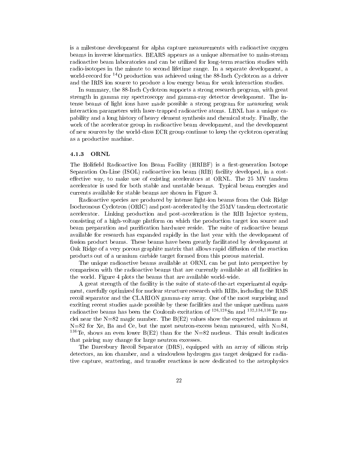is a milestone development for alpha capture measurements with radioactive oxygen beams in inverse kinematics. BEARS appears as a unique alternative to main-stream radioactive beam laboratories and can be utilized for long-term reaction studies with radio-isotopes in the minute to second lifetime range. In a separate development, a world-record for <sup>14</sup>O production was achieved using the 88-Inch Cyclotron as a driver and the IRIS ion source to produce a low energy beam for weak interaction studies.

In summary, the 88-Inch Cyclotron supports a strong research program, with great strength in gamma ray spectroscopy and gamma-ray detector development. The intense beams of light ions have made possible a strong program for measuring weak interaction parameters with laser-trapped radioactive atoms. LBNL has a unique capability and a long history of heavy element synthesis and chemical study. Finally, the work of the accelerator group in radioactive beam development, and the development of new sources by the world-class ECR group continue to keep the cyclotron operating as a productive machine.

### 4.1.3 ORNL

The Holifield Radioactive Ion Beam Facility (HRIBF) is a first-generation Isotope Separation On-Line (ISOL) radioactive ion beam (RIB) facility developed, in a costeffective way, to make use of existing accelerators at ORNL. The  $25$  MV tandem accelerator is used for both stable and unstable beams. Typical beam energies and currents available for stable beams are shown in Figure 3.

Radioactive species are produced by intense light-ion beams from the Oak Ridge Isochronous Cyclotron (ORIC) and post-accelerated by the 25MV tandem electrostatic accelerator. Linking production and post-acceleration is the RIB Injector system, consisting of a high-voltage platform on which the production target ion source and beam preparation and purification hardware reside. The suite of radioactive beams available for research has expanded rapidly in the last year with the development of fission product beams. These beams have been greatly facilitated by development at Oak Ridge of a very porous graphite matrix that allows rapid diffusion of the reaction products out of a uranium carbide target formed from this porous material.

The unique radioactive beams available at ORNL can be put into perspective by comparison with the radioactive beams that are currently available at all facilities in the world. Figure 4 plots the beams that are available world-wide.

A great strength of the facility is the suite of state-of-the-art experimental equipment, carefully optimized for nuclear structure research with RIBs, including the RMS recoil separator and the CLARION gamma-ray array. One of the most surprising and exciting recent studies made possible by these facilities and the unique medium mass radioactive beams has been the Coulomb excitation of  $^{126,128}$ Sn and  $^{132,134,136}$ Te nuclei near the  $N=82$  magic number. The  $B(E2)$  values show the expected minimum at  $N=82$  for Xe, Ba and Ce, but the most neutron-excess beam measured, with  $N=84$ , <sup>136</sup>Te, shows an even lower B(E2) than for the N=82 nucleus. This result indicates that pairing may change for large neutron excesses.

The Daresbury Recoil Separator (DRS), equipped with an array of silicon strip detectors, an ion chamber, and a windowless hydrogen gas target designed for radiative capture, scattering, and transfer reactions is now dedicated to the astrophysics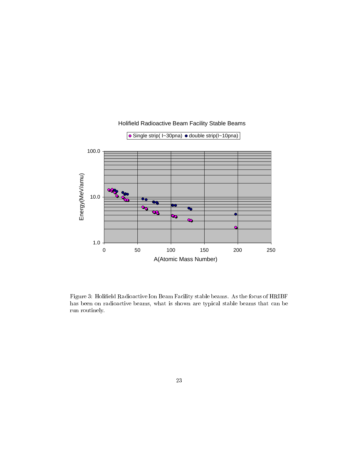

# Holifield Radioactive Beam Facility Stable Beams

Figure 3: Holield Radioactive Ion Beam Facility stable beams. As the focus of HRIBF has been on radioactive beams, what is shown are typical stable beams that can be run routinely.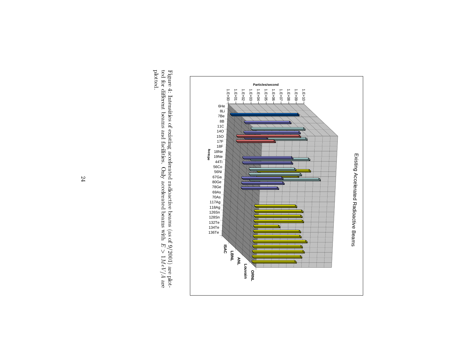

plotted. Figure 4: Intensities of existing accelerated radioactive beams (as of 9/2001) are plotted for different beams and facilities. Only accelerated beams with  $E > 1MeV/A$  are plotted.ted for dierent beams and facilities.Figure 4: Intensities of existing accelerated radioactive beams (as of 9/2001) are plot- Only accelerated beams with $\ddot{\phantom{a}}$ 1<br>1<br>1<br>
1<br>
1<br>
1<br>
1<br><br><br><br><br><br><br><br><br><br><br><br><br><br><br><br> are di second la conservación de la conservación de la conservación de la conservación de la conservación de l<br>Casa de la conservación de la conservación de la conservación de la conservación de la conservación de la cons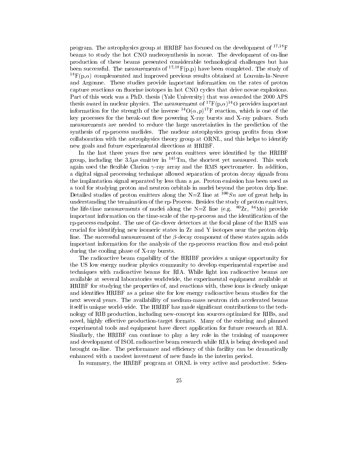program. The astrophysics group at HRIBF has focused on the development of  $17,18$ F beams to study the hot CNO nucleosynthesis in novae. The development of on-line production of these beams presented considerable technological challenges but has been successful. The measurements of  $^{17,18}F(p,p)$  have been completed. The study of  $^{18}F(p,\alpha)$  complemented and improved previous results obtained at Louvain-la-Neuve and Argonne. These studies provide important information on the rates of proton capture reactions on fluorine isotopes in hot CNO cycles that drive novae explosions. Part of this work was a PhD. thesis (Yale University) that was awarded the 2000 APS thesis award in nuclear physics. The measurement of  ${}^{17}F(p,\alpha){}^{14}O$  provides important information for the strength of the inverse  ${}^{14}O(\alpha, p){}^{17}F$  reaction, which is one of the key processes for the break-out flow powering X-ray bursts and X-ray pulsars. Such measurements are needed to reduce the large uncertainties in the prediction of the synthesis of rp-process nuclides. The nuclear astrophysics group profits from close collaboration with the astrophysics theory group at ORNL, and this helps to identify new goals and future experimental directions at HRIBF.

In the last three years five new proton emitters were identified by the HRIBF group, including the  $3.5\mu s$  emitter in  $^{145}$ Tm, the shortest yet measured. This work again used the flexible Clarion  $\gamma$ -ray array and the RMS spectrometer. In addition, a digital signal processing technique allowed separation of proton decay signals from the implantation signal separated by less than a  $\mu$ s. Proton emission has been used as a tool for studying proton and neutron orbitals in nuclei beyond the proton drip line. Detailed studies of proton emitters along the N=Z line at  $100Sn$  are of great help in understanding the termination of the rp-Process. Besides the study of proton emitters, the life-time measurements of nuclei along the N=Z line (e.g.  $80Zr$ ,  $84M\text{o}$ ) provide important information on the time-scale of the rp-process and the identication of the rp-process endpoint. The use of Ge-clover detectors at the focal plane of the RMS was crucial for identifying new isomeric states in Zr and Y isotopes near the proton drip line. The successful measurement of the  $\beta$ -decay component of these states again adds important information for the analysis of the rp-process reaction flow and end-point during the cooling phase of X-ray bursts.

The radioactive beam capability of the HRIBF provides a unique opportunity for the US low energy nuclear physics community to develop experimental expertise and techniques with radioactive beams for RIA. While light ion radioactive beams are available at several laboratories worldwide, the experimental equipment available at HRIBF for studying the properties of, and reactions with, these ions is clearly unique and identies HRIBF as a prime site for low energy radioactive beam studies for the next several years. The availability of medium-mass neutron rich accelerated beams itself is unique world-wide. The HRIBF has made significant contributions to the technology of RIB production, including new-concept ion sources optimized for RIBs, and novel, highly effective production-target formats. Many of the existing and planned experimental tools and equipment have direct application for future research at RIA. Similarly, the HRIBF can continue to play a key role in the training of manpower and development of ISOL radioactive beam research while RIA is being developed and brought on-line. The performance and efficiency of this facility can be dramatically enhanced with a modest investment of new funds in the interim period.

In summary, the HRIBF program at ORNL is very active and productive. Scien-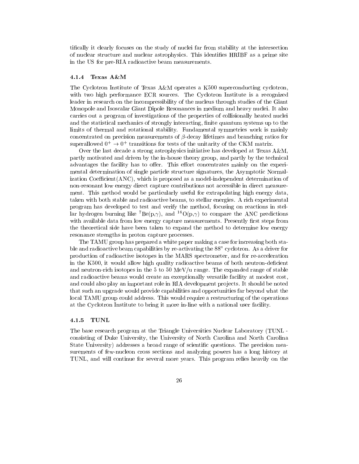tically it clearly focuses on the study of nuclei far from stability at the intersection of nuclear structure and nuclear astrophysics. This identies HRIBF as a prime site in the US for pre-RIA radioactive beam measurements.

## 4.1.4 Texas A&M

The Cyclotron Institute of Texas A&M operates a K500 superconducting cyclotron, with two high performance ECR sources. The Cyclotron Institute is a recognized leader in research on the incompressibility of the nucleus through studies of the Giant Monopole and Isoscalar Giant Dipole Resonances in medium and heavy nuclei. It also carries out a program of investigations of the properties of collisionally heated nuclei and the statistical mechanics of strongly interacting, finite quantum systems up to the limits of thermal and rotational stability. Fundamental symmetries work is mainly concentrated on precision measurements of  $\beta$ -decay lifetimes and branching ratios for  $\sup$  erallowed  $0+\to 0+$  transitions for tests of the unitarity of the CKM matrix.

Over the last decade a strong astrophysics initiative has developed at Texas A&M, partly motivated and driven by the in-house theory group, and partly by the technical advantages the facility has to offer. This effort concentrates mainly on the experimental determination of single particle structure signatures, the Asymptotic Normalization Coefficient(ANC), which is proposed as a model-independent determination of non-resonant low energy direct capture contributions not accessible in direct measurement. This method would be particularly useful for extrapolating high energy data, taken with both stable and radioactive beams, to stellar energies. A rich experimental program has developed to test and verify the method, focusing on reactions in stelar hydrogen burning like  $\mathbf{D}e(\rho, \gamma)$ , and  $\mathbf{U}(\rho, \gamma)$  to compare the ANC predictions with available data from low energy capture measurements. Presently first steps from the theoretical side have been taken to expand the method to determine low energy resonance strengths in proton capture processes.

The TAMU group has prepared a white paper making a case for increasing both stable and radioactive beam capabilities by re-activating the 88" cyclotron. As a driver for production of radioactive isotopes in the MARS spectrometer, and for re-acceleration in the K500, it would allow high quality radioactive beams of both neutron-deficient and neutron-rich isotopes in the 5 to 50 MeV/u range. The expanded range of stable and radioactive beams would create an exceptionally versatile facility at modest cost, and could also play an important role in RIA development projects. It should be noted that such an upgrade would provide capabilities and opportunities far beyond what the local TAMU group could address. This would require a restructuring of the operations at the Cyclotron Institute to bring it more in-line with a national user facility.

The base research program at the Triangle Universities Nuclear Laboratory (TUNL consisting of Duke University, the University of North Carolina and North Carolina State University) addresses a broad range of scientic questions. The precision measurements of few-nucleon cross sections and analyzing powers has a long history at TUNL, and will continue for several more years. This program relies heavily on the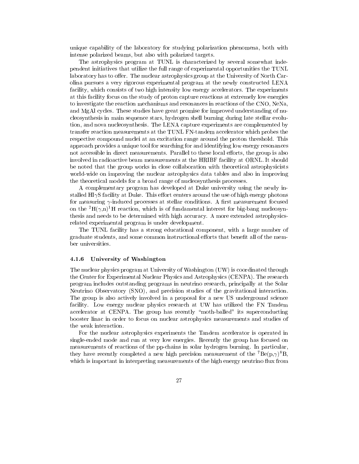unique capability of the laboratory for studying polarization phenomena, both with intense polarized beams, but also with polarized targets.

The astrophysics program at TUNL is characterized by several somewhat independent initiatives that utilize the full range of experimental opportunities the TUNL laboratory has to offer. The nuclear astrophysics group at the University of North Carolina pursues a very rigorous experimental program at the newly constructed LENA facility, which consists of two high intensity low energy accelerators. The experiments at this facility focus on the study of proton capture reactions at extremely low energies to investigate the reaction mechanisms and resonances in reactions of the CNO, NeNa, and MgAl cycles. These studies have great promise for improved understanding of nucleosynthesis in main sequence stars, hydrogen shell burning during late stellar evolution, and nova nucleosynthesis. The LENA capture experiments are complemented by transfer reaction measurements at the TUNL FN-tandem accelerator which probes the respective compound nuclei at an excitation range around the proton threshold. This approach provides a unique tool for searching for and identifying low energy resonances not accessible in direct measurements. Parallel to these local efforts, the group is also involved in radioactive beam measurements at the HRIBF facility at ORNL. It should be noted that the group works in close collaboration with theoretical astrophysicists world-wide on improving the nuclear astrophysics data tables and also in improving the theoretical models for a broad range of nucleosynthesis processes.

A complementary program has developed at Duke university using the newly installed  $HI\gamma S$  facility at Duke. This effort centers around the use of high energy photons for measuring  $\gamma$ -induced processes at stellar conditions. A first measurement focused on the <sup>2</sup>H( $\gamma$ ,n)<sup>1</sup>H reaction, which is of fundamental interest for big-bang nucleosynthesis and needs to be determined with high accuracy. A more extended astrophysicsrelated experimental program is under development.

The TUNL facility has a strong educational component, with a large number of graduate students, and some common instructional efforts that benefit all of the member universities.

#### University of Washington  $4.1.6$

The nuclear physics program at University of Washington (UW) is coordinated through the Center for Experimental Nuclear Physics and Astrophysics (CENPA). The research program includes outstanding programs in neutrino research, principally at the Solar Neutrino Observatory (SNO), and precision studies of the gravitational interaction. The group is also actively involved in a proposal for a new US underground science facility. Low energy nuclear physics research at UW has utilized the FN Tandem accelerator at CENPA. The group has recently \moth-balled" its superconducting booster linac in order to focus on nuclear astrophysics measurements and studies of the weak interaction.

For the nuclear astrophysics experiments the Tandem accelerator is operated in single-ended mode and run at very low energies. Recently the group has focused on measurements of reactions of the pp-chains in solar hydrogen burning. In particular, they have recently completed a new high precision measurement of the  $^7Be(p,\gamma)^8B$ , which is important in interpreting measurements of the high energy neutrino flux from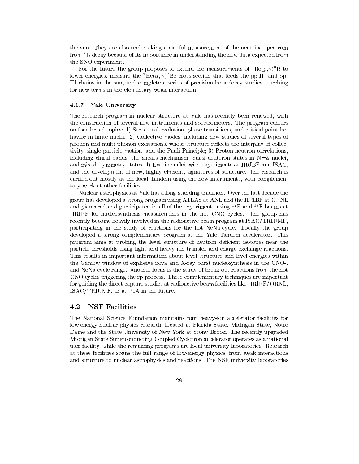the sun. They are also undertaking a careful measurement of the neutrino spectrum from 8B decay because of its importance in understanding the new data expected from the SNO experiment.

For the future the group proposes to extend the measurements of  $^7Be(p,\gamma)^8B$  to lower energies, measure the  ${}^{3}He(\alpha, \gamma)^{7}Be$  cross section that feeds the pp-II- and pp-III-chains in the sun, and complete a series of precision beta-decay studies searching for new terms in the elementary weak interaction.

### 4.1.7 Yale University

The research program in nuclear structure at Yale has recently been renewed, with the construction of several new instruments and spectrometers. The program centers on four broad topics: 1) Structural evolution, phase transitions, and critical point behavior in finite nuclei. 2) Collective modes, including new studies of several types of phonon and multi-phonon excitations, whose structure reflects the interplay of collectivity, single particle motion, and the Pauli Principle; 3) Proton-neutron correlations, including chiral bands, the shears mechanism, quasi-deuteron states in  $N=Z$  nuclei, and mixed- symmetry states; 4) Exotic nuclei, with experiments at HRIBF and ISAC, and the development of new, highly efficient, signatures of structure. The research is carried out mostly at the local Tandem using the new instruments, with complementary work at other facilities.

Nuclear astrophysics at Yale has a long-standing tradition. Over the last decade the group has developed a strong program using ATLAS at ANL and the HRIBF at ORNL and pioneered and participated in all of the experiments using 17F and 18F beams at HRIBF for nucleosynthesis measurements in the hot CNO cycles. The group has recently become heavily involved in the radioactive beam program at ISAC/TRIUMF, participating in the study of reactions for the hot NeNa-cycle. Locally the group developed a strong complementary program at the Yale Tandem accelerator. This program aims at probing the level structure of neutron deficient isotopes near the particle thresholds using light and heavy ion transfer and charge exchange reactions. This results in important information about level structure and level energies within the Gamow window of explosive nova and X-ray burst nucleosynthesis in the CNO-, and NeNa cycle range. Another focus is the study of break-out reactions from the hot CNO cycles triggering the rp-process. These complementary techniques are important for guiding the direct capture studies at radioactive beam facilities like HRIBF/ORNL, ISAC/TRIUMF, or at RIA in the future.

## 4.2 NSF Facilities

The National Science Foundation maintains four heavy-ion accelerator facilities for low-energy nuclear physics research, located at Florida State, Michigan State, Notre Dame and the State University of New York at Stony Brook. The recently upgraded Michigan State Superconducting Coupled Cyclotron accelerator operates as a national user facility, while the remaining programs are local university laboratories. Research at these facilities spans the full range of low-energy physics, from weak interactions and structure to nuclear astrophysics and reactions. The NSF university laboratories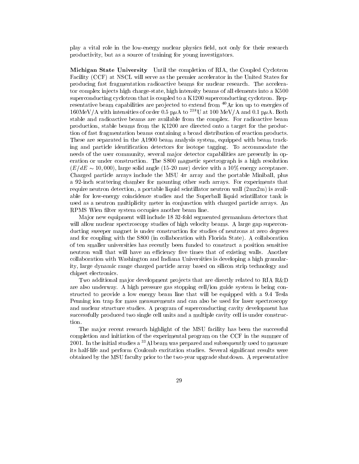play a vital role in the low-energy nuclear physics eld, not only for their research productivity, but as a source of training for young investigators.

Michigan State University Until the completion of RIA, the Coupled Cyclotron Facility (CCF) at NSCL will serve as the premier accelerator in the United States for producing fast fragmentation radioactive beams for nuclear research. The accelerator complex injects high charge-state, high intensity beams of all elements into a K500 superconducting cyclotron that is coupled to a K1200 superconducting cyclotron. Representative beam capabilities are projected to extend from  $40$ Ar ion up to energies of  $160MeV/A$  with intensities of order 0.5 p $\mu$ A to <sup>238</sup>U at 100 MeV/A and 0.1 p $\mu$ A. Both stable and radioactive beams are available from the complex. For radioactive beam production, stable beams from the K1200 are directed onto a target for the production of fast fragmentation beams containing a broad distribution of reaction products. These are separated in the A1900 beam analysis system, equipped with beam tracking and particle identification detectors for isotope tagging. To accommodate the needs of the user community, several major detector capabilities are presently in operation or under construction. The S800 magnetic spectrograph is a high resolution  $(E/dE \sim 10,000)$ , large solid angle (15-20 msr) device with a 10% energy acceptance. Charged particle arrays include the MSU  $4\pi$  array and the portable Miniball, plus a 92-inch scattering chamber for mounting other such arrays. For experiments that require neutron detection, a portable liquid scintillator neutron wall (2mx2m) is available for low-energy coincidence studies and the Superball liquid scintillator tank is used as a neutron multiplicity meter in conjunction with charged particle arrays. An RPMS Wien filter system occupies another beam line.

Ma jor new equipment will include 18 32-fold segmented germanium detectors that will allow nuclear spectroscopy studies of high velocity beams. A large gap superconducting sweeper magnet is under construction for studies of neutrons at zero degrees and for coupling with the S800 (in collaboration with Florida State). A collaboration of ten smaller universities has recently been funded to construct a position sensitive neutron wall that will have an efficiency five times that of existing walls. Another collaboration with Washington and Indiana Universities is developing a high granularity, large dynamic range charged particle array based on silicon strip technology and chipset electronics.

Two additional major development projects that are directly related to RIA R&D are also underway. A high pressure gas stopping cell/ion guide system is being constructed to provide a low energy beam line that will be equipped with a 9.4 Tesla Penning ion trap for mass measurements and can also be used for laser spectroscopy and nuclear structure studies. A program of superconducting cavity development has successfully produced two single cell units and a multiple cavity cell is under construction.

The major recent research highlight of the MSU facility has been the successful completion and initiation of the experimental program on the CCF in the summer of 2001. In the initial studies a <sup>33</sup>Al beam was prepared and subsequently used to measure its half-life and perform Coulomb excitation studies. Several significant results were obtained by the MSU faculty prior to the two-year upgrade shutdown. A representative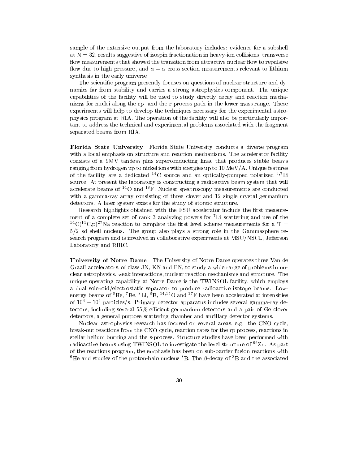sample of the extensive output from the laboratory includes: evidence for a subshell at  $N = 32$ , results suggestive of isospin fractionation in heavy-ion collisions, transverse flow measurements that showed the transition from attractive nuclear flow to repulsive flow due to high pressure, and  $\alpha + \alpha$  cross section measurements relevant to lithium synthesis in the early universe

The scientic program presently focuses on questions of nuclear structure and dynamics far from stability and carries a strong astrophysics component. The unique capabilities of the facility will be used to study directly decay and reaction mechanisms for nuclei along the rp- and the r-process path in the lower mass range. These experiments will help to develop the techniques necessary for the experimental astrophysics program at RIA. The operation of the facility will also be particularly important to address the technical and experimental problems associated with the fragment separated beams from RIA.

Florida State University Florida State University conducts a diverse program with a local emphasis on structure and reaction mechanisms. The accelerator facility consists of a 9MV tandem plus superconducting linac that produces stable beams ranging from hydrogen up to nickel ions with energies up to 10 MeV/A. Unique features of the facility are a dedicated  $^{14}$ C source and an optically-pumped polarized  $^{6,7}$ Li source. At present the laboratory is constructing a radioactive beam system that will accelerate beams of  $^{14}O$  and  $^{18}F$ . Nuclear spectroscopy measurements are conducted with a gamma-ray array consisting of three clover and 12 single crystal germanium detectors. A laser system exists for the study of atomic structure.

Research highlights obtained with the FSU accelerator include the first measurement of a complete set of rank 3 analyzing powers for  $\tau$ Li scattering and use of the <sup>14</sup>C(<sup>14</sup>C,p)<sup>27</sup>Na reaction to complete the first level scheme measurements for a T = 5/2 sd shell nucleus. The group also plays a strong role in the Gammasphere research program and is involved in collaborative experiments at MSU/NSCL, Jefferson Laboratory and RHIC.

University of Notre Dame The University of Notre Dame operates three Van de Graaff accelerators, of class JN, KN and FN, to study a wide range of problems in nuclear astrophysics, weak interactions, nuclear reaction mechanisms and structure. The unique operating capability at Notre Dame is the TWINSOL facility, which employs a dual solenoid/electrostatic separator to produce radioactive isotope beams. Low energy beams of  ${}^{6}$ He,  ${}^{7}$ Be,  ${}^{8}$ Li,  ${}^{8}$ B,  ${}^{14,15}$ O and  ${}^{17}$ F have been accelerated at intensities of  $10^4 - 10^6$  particles/s. Primary detector apparatus includes several gamma-ray detectors, including several 55% efficient germanium detectors and a pair of Ge clover detectors, a general purpose scattering chamber and ancillary detector systems.

Nuclear astrophysics research has focused on several areas, e.g. the CNO cycle, break-out reactions from the CNO cycle, reaction rates for the rp process, reactions in stellar helium burning and the s-process. Structure studies have been performed with radioactive beams using TWINSOL to investigate the level structure of  ${}^{66}$ Zn. As part of the reactions program, the emphasis has been on sub-barrier fusion reactions with <sup>6</sup>He and studies of the proton-halo nucleus <sup>8</sup>B. The  $\beta$ -decay of <sup>8</sup>B and the associated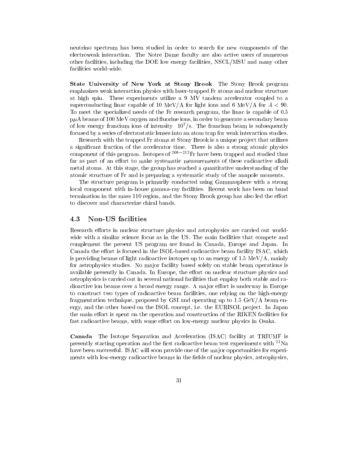neutrino spectrum has been studied in order to search for new components of the electroweak interaction. The Notre Dame faculty are also active users of numerous other facilities, including the DOE low energy facilities, NSCL/MSU and many other facilities world-wide.

State University of New York at Stony Brook The Stony Brook program emphasizes weak interaction physics with laser-trapped Fr atoms and nuclear structure at high spin. These experiments utilize a 9 MV tandem accelerator coupled to a superconducting linac capable of 10 MeV/A for light ions and 6 MeV/A for  $A < 90$ . To meet the specialized needs of the Fr research program, the linac is capable of 0.5  $p\mu A$  beams of 100 MeV oxygen and fluorine ions, in order to generate a secondary beam of low energy francium ions of intensity  $10^7$ /s. The francium beam is subsequently focused by a series of electrostatic lenses into an atom trap for weak interaction studies.

Research with the trapped Fr atoms at Stony Brook is a unique project that utilizes a signicant fraction of the accelerator time. There is also a strong atomic physics component of this program. Isotopes of  $208-212$  Fr have been trapped and studied thus far as part of an effort to make systematic measurements of these radioactive alkali metal atoms. At this stage, the group has reached a quantitative understanding of the atomic structure of Fr and is preparing a systematic study of the anapole moments.

The structure program is primarily conducted using Gammasphere with a strong local component with in-house gamma-ray facilities. Recent work has been on band termination in the mass 110 region, and the Stony Brook group has also led the effort to discover and characterize chiral bands.

# 4.3 Non-US facilities

Research efforts in nuclear structure physics and astrophysics are carried out worldwide with a similar science focus as in the US. The main facilities that compete and complement the present US program are found in Canada, Europe and Japan. In Canada the effort is focused in the ISOL-based radioactive beam facility ISAC, which is providing beams of light radioactive isotopes up to an energy of  $1.5 \text{ MeV/A}$ , mainly for astrophysics studies. No ma jor facility based solely on stable beam operations is available presently in Canada. In Europe, the effort on nuclear structure physics and astrophysics is carried out in several national facilities that employ both stable and radioactive ion beams over a broad energy range. A major effort is underway in Europe to construct two types of radioactive beam facilities, one relying on the high-energy fragmentation technique, proposed by GSI and operating up to  $1.5 \text{ GeV/A}$  beam energy, and the other based on the ISOL concept, i.e. the EURISOL project. In Japan the main effort is spent on the operation and construction of the RIKEN facilities for fast radioactive beams, with some effort on low-energy nuclear physics in Osaka.

Canada The Isotope Separation and Acceleration (ISAC) facility at TRIUMF is presently starting operation and the first radioactive beam test experiments with  $^{21}$ Na have been successful. ISAC will soon provide one of the major opportunities for experiments with low-energy radioactive beams in the fields of nuclear physics, astrophysics,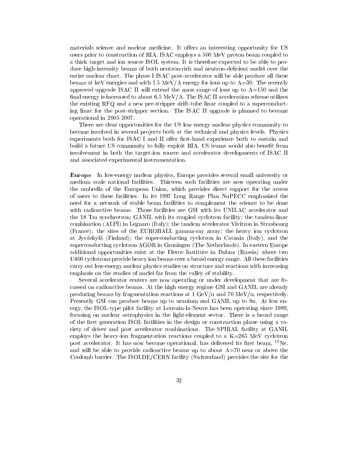materials science and nuclear medicine. It offers an interesting opportunity for US users prior to construction of RIA. ISAC employs a 500 MeV proton beam coupled to a thick target and ion source ISOL system. It is therefore expected to be able to produce high-intensity beams of both neutron-rich and neutron-deficient nuclei over the entire nuclear chart. The phase I ISAC post-accelerator will be able produce all these beams at keV energies and with  $1.5 \text{ MeV/A}$  energy for ions up to  $A=30$ . The recently approved upgrade ISAC II will extend the mass range of ions up to  $A=150$  and the final energy is increased to about  $6.5 \text{ MeV/A}$ . The ISAC II acceleration scheme utilizes the existing RFQ and a new pre-stripper drift-tube linac coupled to a superconducting linac for the post-stripper section. The ISAC II upgrade is planned to become operational in 2005-2007.

There are clear opportunities for the US low energy nuclear physics community to become involved in several projects both at the technical and physics levels. Physics experiments both for ISAC I and II offer first-hand experience both to sustain and build a future US community to fully exploit RIA. US teams would also benet from involvement in both the target-ion source and accelerator developments of ISAC II and associated experimental instrumentation.

Europe In low-energy nuclear physics, Europe provides several small university or medium scale national facilities. Thirteen such facilities are now operating under the umbrella of the European Union, which provides direct support for the access of users to these facilities. In its 1997 Long Range Plan NuPECC emphasized the need for a network of stable beam facilities to complement the science to be done with radioactive beams. Those facilities are GSI with its UNILAC accelerator and the 18 Tm synchrotron; GANIL with its coupled cyclotron facility; the tandem-linac combination (ALPI) in Legnaro (Italy); the tandem accelerator Vivitron in Strasbourg (France); the sites of the EUROBALL gamma-ray array; the heavy ion cyclotron at Jyvaskyla (Finland); the superconducting cyclotron in Catania (Italy), and the superconducting cyclotron AGOR in Groningen (The Netherlands). In eastern Europe additional opportunities exist at the Flerov Institute in Dubna (Russia) where two U400 cyclotrons provide heavy ion beams over a broad energy range. All these facilities carry out low-energy nuclear physics studies on structure and reactions with increasing emphasis on the studies of nuclei far from the valley of stability.

Several accelerator centers are now operating or under development that are focussed on radioactive beams. At the high energy regime GSI and GANIL are already producing beams by fragmentation reactions at 1 GeV/u and 70 MeV/u, respectively. Presently GSI can produce beams up to uranium and GANIL up to Sn. At low energy, the ISOL-type pilot facility at Louvain-la-Neuve has been operating since 1989, focusing on nuclear astrophysics in the light-element sector. There is a broad range of the first generation ISOL facilities in the design or construction phase using a variety of driver and post accelerator combinations. The SPIRAL facility at GANIL employs the heavy-ion fragmentation reactions coupled to a  $K=265$  MeV cyclotron post accelerator. It has now become operational, has delivered its first beam,  $^{18}$ Ne, and will be able to provide radioactive beams up to about  $A=70$  near or above the Coulomb barrier. The ISOLDE/CERN facility (Switzerland) provides the site for the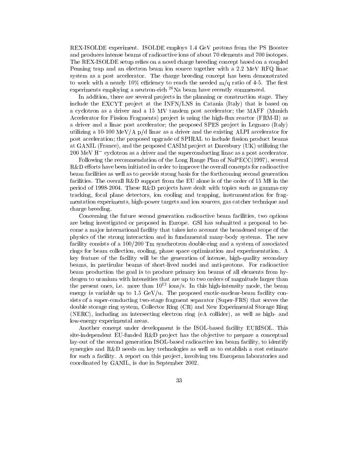REX-ISOLDE experiment. ISOLDE employs 1.4 GeV protons from the PS Booster and produces intense beams of radioactive ions of about 70 elements and 700 isotopes. The REX-ISOLDE setup relies on a novel charge breeding concept based on a coupled Penning trap and an electron beam ion source together with a 2.2 MeV RFQ linac system as a post accelerator. The charge breeding concept has been demonstrated to work with a nearly  $10\%$  efficiency to reach the needed m/q ratio of 4-5. The first experiments employing a neutron-rich <sup>26</sup>Na beam have recently commenced.

In addition, there are several projects in the planning or construction stage. They include the EXCYT project at the  $\text{INFN}/\text{LNS}$  in Catania (Italy) that is based on a cyclotron as a driver and a 15 MV tandem post accelerator; the MAFF (Munich Accelerator for Fission Fragments) project is using the high-flux reactor (FRM-II) as a driver and a linac post accelerator; the proposed SPES project in Legnaro (Italy) utilizing a 10-100 MeV/A p/d linac as a driver and the existing ALPI accelerator for post acceleration; the proposed upgrade of SPIRAL to include fission product beams at GANIL (France), and the proposed CASIM project at Daresbury (UK) utilizing the 200 MeV H cyclotron as a driver and the superconducting linac as a post accelerator.

Following the recommendation of the Long Range Plan of NuPECC(1997), several  $R&D$  efforts have been initiated in order to improve the overall concepts for radioactive beam facilities as well as to provide strong basis for the forthcoming second generation facilities. The overall R&D support from the EU alone is of the order of 15 M\$ in the period of 1998-2004. These R&D projects have dealt with topics such as gamma-ray tracking, focal plane detectors, ion cooling and trapping, instrumentation for fragmentation experiments, high-power targets and ion sources, gas catcher technique and charge breeding.

Concerning the future second generation radioactive beam facilities, two options are being investigated or proposed in Europe. GSI has submitted a proposal to become a ma jor international facility that takes into account the broadened scope of the physics of the strong interaction and in fundamental many-body systems. The new facility consists of a 100/200 Tm synchrotron double-ring and a system of associated rings for beam collection, cooling, phase space optimization and experimentation. A key feature of the facility will be the generation of intense, high-quality secondary beams, in particular beams of short-lived nuclei and anti-protons. For radioactive beam production the goal is to produce primary ion beams of all elements from hydrogen to uranium with intensities that are up to two orders of magnitude larger than the present ones, i.e. more than  $10^{12}$  ions/s. In this high-intensity mode, the beam energy is variable up to  $1.5 \text{ GeV/u}$ . The proposed exotic-nuclear-beam facility consists of a super-conducting two-stage fragment separator (Super-FRS) that serves the double storage ring system, Collector Ring (CR) and New Experimental Storage Ring (NERC), including an intersecting electron ring (eA collider), as well as high- and low-energy experimental areas.

Another concept under development is the ISOL-based facility EURISOL. This site-independent EU-funded  $R&D$  project has the objective to prepare a conceptual lay-out of the second generation ISOL-based radioactive ion beam facility, to identify synergies and R&D needs on key technologies as well as to establish a cost estimate for such a facility. A report on this project, involving ten European laboratories and coordinated by GANIL, is due in September 2002.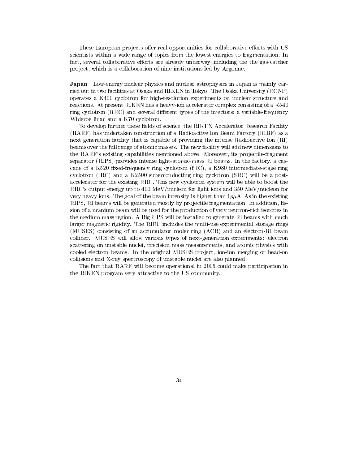These European projects offer real opportunities for collaborative efforts with US scientists within a wide range of topics from the lowest energies to fragmentation. In fact, several collaborative efforts are already underway, including the the gas-catcher pro ject, which is a collaboration of nine institutions led by Argonne.

Japan Low-energy nuclear physics and nuclear astrophysics in Japan is mainly carried out in two facilities at Osaka and RIKEN in Tokyo. The Osaka University (RCNP) operates a K400 cyclotron for high-resolution experiments on nuclear structure and reactions. At present RIKEN has a heavy-ion accelerator complex consisting of a K540 ring cyclotron (RRC) and several different types of the injectors: a variable-frequency Wideroe linac and a K70 cyclotron.

To develop further these fields of science, the RIKEN Accelerator Research Facility (RARF) has undertaken construction of a Radioactive Ion Beam Factory (RIBF) as a next generation facility that is capable of providing the intense Radioactive Ion (RI) beams over the full range of atomic masses. The new facility will add new dimensions to the RARF's existing capabilities mentioned above. Moreover, its projectile-fragment separator (RIPS) provides intense light-atomic-mass RI beams. In the factory, a cascade of a K520 fixed-frequency ring cyclotron  $(fRC)$ , a K980 intermediate-stage ring cyclotron (IRC) and a K2500 superconducting ring cyclotron (SRC) will be a postaccelerator for the existing RRC. This new cyclotron system will be able to boost the RRC's output energy up to 400 MeV/nucleon for light ions and 350 MeV/nucleon for very heavy ions. The goal of the beam intensity is higher than  $1p\mu A$ . As in the existing RIPS, RI beams will be generated mostly by projectile fragmentation. In addition, fission of a uranium beam will be used for the production of very neutron-rich isotopes in the medium mass region. A BigRIPS will be installed to generate RI beams with much larger magnetic rigidity. The RIBF includes the multi-use experimental storage rings (MUSES) consisting of an accumulator cooler ring (ACR) and an electron-RI beam collider. MUSES willallow various types of next-generation experiments: electron scattering on unstable nuclei, precision mass measurements, and atomic physics with cooled electron beams. In the original MUSES project, ion-ion merging or head-on collisions and X-ray spectroscopy of unstable nuclei are also planned.

The fact that RARF will become operational in 2005 could make participation in the RIKEN program very attractive to the US community.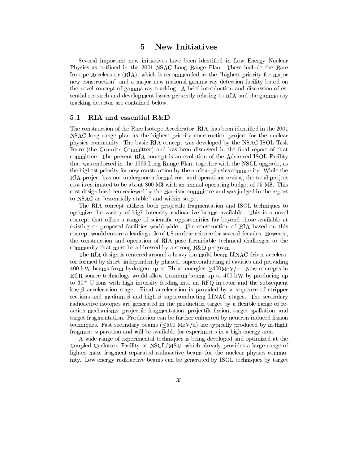### 5 New Initiatives 5

Several important new initiatives have been identified in Low Energy Nuclear Physics as outlined in the 2001 NSAC Long Range Plan. These include the Rare Isotope Accelerator (RIA), which is recommended as the \highest priority for ma jor new construction" and a major new national gamma-ray detection facility based on the novel concept of gamma-ray tracking. A brief introduction and discussion of essential research and development issues presently relating to RIA and the gamma-ray tracking detector are contained below.

# 5.1 RIA and essential R&D

The construction of the Rare Isotope Accelerator, RIA, has been identied in the 2001 NSAC long range plan as the highest priority construction project for the nuclear physics community. The basic RIA concept was developed by the NSAC ISOL Task Force (the Grunder Committee) and has been discussed in the final report of that committee. The present RIA concept is an evolution of the Advanced ISOL Facility that was endorsed in the 1996 Long Range Plan, together with the NSCL upgrade, as the highest priority for new construction by the nuclear physics community. While the RIA project has not undergone a formal cost and operations review, the total project cost is estimated to be about 800 M\$ with an annual operating budget of 75 M\$. This cost design has been reviewed by the Harrison committee and was judged in the report to NSAC as "essentially stable" and within scope.

The RIA concept utilizes both projectile fragmentation and ISOL techniques to optimize the variety of high intensity radioactive beams available. This is a novel concept that offers a range of scientific opportunities far beyond those available at existing or proposed facilities world-wide. The construction of RIA based on this concept would ensure a leading role of US nuclear science for several decades. However, the construction and operation of RIA pose formidable technical challenges to the community that must be addressed by a strong R&D program.

The RIA design is centered around a heavy ion multi-beam LINAC driver accelerator formed by short, independently-phased, superconducting rf cavities and providing 400 kW beams from hydrogen up to Pb at energies  $>$ 400MeV/u. New concepts in ECR source technology would allow Uranium beams up to 400 kW by producing up to  $30^+$  U ions with high intensity feeding into an RFQ injector and the subsequent low- $\beta$  acceleration stage. Final acceleration is provided by a sequence of stripper sections and medium- $\beta$  and high- $\beta$  superconducting LINAC stages. The secondary radioactive isotopes are generated in the production target by a flexible range of reaction mechanisms: projectile fragmentation, projectile fission, target spallation, and target fragmentation. Production can be further enhanced by neutron-induced fission techniques. Fast secondary beams  $(<500 \text{ MeV/u})$  are typically produced by in-flight fragment separation and will be available for experiments in a high energy area.

A wide range of experimental techniques is being developed and optimized at the Coupled Cyclotron Facility at NSCL/MSU, which already provides a large range of lighter mass fragment-separated radioactive beams for the nuclear physics community. Low energy radioactive beams can be generated by ISOL techniques by target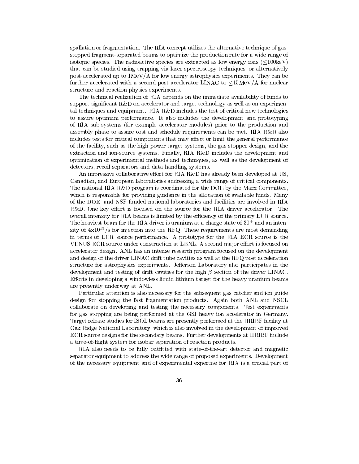spallation or fragmentation. The RIA concept utilizes the alternative technique of gasstopped fragment-separated beams to optimize the production rate for a wide range of isotopic species. The radioactive species are extracted as low energy ions  $\leq 100 \text{keV}$ ) that can be studied using trapping via laser spectroscopy techniques, or alternatively post-accelerated up to 1MeV/A for low energy astrophysics experiments. They can be further accelerated with a second post-accelerator LINAC to  $\leq 15$ MeV/A for nuclear structure and reaction physics experiments.

The technical realization of RIA depends on the immediate availability of funds to support signicant R&D on accelerator and target technology as well as on experimental techniques and equipment. RIA R&D includes the test of critical new technologies to assure optimum performance. It also includes the development and prototyping of RIA sub-systems (for example accelerator modules) prior to the production and assembly phase to assure cost and schedule requirements can be met. RIA R&D also includes tests for critical components that may affect or limit the general performance of the facility, such as the high power target systems, the gas-stopper design, and the extraction and ion-source systems. Finally, RIA R&D includes the development and optimization of experimental methods and techniques, as well as the development of detectors, recoil separators and data handling systems.

An impressive collaborative effort for RIA R&D has already been developed at US, Canadian, and European laboratories addressing a wide range of critical components. The national RIA R&D program is coordinated for the DOE by the Marx Committee, which is responsible for providing guidance in the allocation of available funds. Many of the DOE- and NSF-funded national laboratories and facilities are involved in RIA  $R&D.$  One key effort is focused on the source for the RIA driver accelerator. The overall intensity for RIA beams is limited by the efficiency of the primary ECR source. The heaviest beam for the RIA driver is uranium at a charge state of 30<sup>+</sup> and an intensity of  $4x10^{13}/s$  for injection into the RFQ. These requirements are most demanding in terms of ECR source performance. A prototype for the RIA ECR source is the VENUS ECR source under construction at LBNL. A second major effort is focused on accelerator design. ANL has an intense research program focused on the development and design of the driver LINAC drift tube cavities as well at the RFQ post acceleration structure for astrophysics experiments. Jefferson Laboratory also participates in the development and testing of drift cavities for the high  $\beta$  section of the driver LINAC. Efforts in developing a windowless liquid lithium target for the heavy uranium beams are presently underway at ANL.

Particular attention is also necessary for the subsequent gas catcher and ion guide design for stopping the fast fragmentation products. Again both ANL and NSCL collaborate on developing and testing the necessary components. Test experiments for gas stopping are being performed atthe GSI heavy ion accelerator in Germany. Target release studies for ISOL beams are presently performed at the HRIBF facility at Oak Ridge National Laboratory, which is also involved in the development of improved ECR source designs for the secondary beams. Further developments at HRIBF include a time-ofight system for isobar separation of reaction products.

RIA also needs to be fully outfitted with state-of-the-art detector and magnetic separator equipment to address the wide range of proposed experiments. Development of the necessary equipment and of experimental expertise for RIA is a crucial part of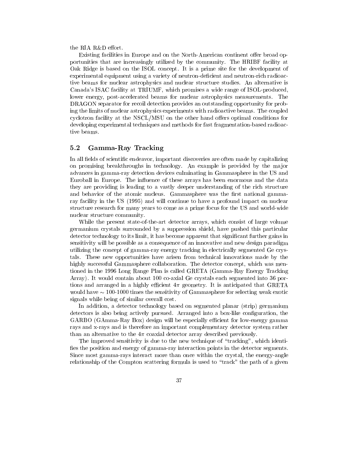the RIA  $R\&D$  effort.

Existing facilities in Europe and on the North-American continent offer broad opportunities that are increasingly utilized by the community. The HRIBF facility at Oak Ridge is based on the ISOL concept. It is a prime site for the development of experimental equipment using a variety of neutron-deficient and neutron-rich radioactive beams for nuclear astrophysics and nuclear structure studies. An alternative is Canada's ISAC facility at TRIUMF, which promises a wide range of ISOL-produced, lower energy, post-accelerated beams for nuclear astrophysics measurements. The DRAGON separator for recoil detection provides an outstanding opportunity for probing the limits of nuclear astrophysics experiments with radioactive beams. The coupled cyclotron facility at the NSCL/MSU on the other hand offers optimal conditions for developing experimental techniques and methods for fast fragmentation-based radioactive beams.

# 5.2 Gamma-Ray Tracking

In all fields of scientific endeavor, important discoveries are often made by capitalizing on promising breakthroughs in technology. An example is provided by the major advances in gamma-ray detection devices culminating in Gammasphere in the US and Euroball in Europe. The influence of these arrays has been enormous and the data they are providing is leading to a vastly deeper understanding of the rich structure and behavior of the atomic nucleus. Gammasphere was the first national gammaray facility in the US (1995) and will continue to have a profound impact on nuclear structure research for many years to come as a prime focus for the US and world-wide nuclear structure community.

While the present state-of-the-art detector arrays, which consist of large volume germanium crystals surrounded by a suppression shield, have pushed this particular detector technology to its limit, it has become apparent that signicant further gains in sensitivity will be possible as a consequence of an innovative and new design paradigm utilizing the concept of gamma-ray energy tracking in electrically segmented Ge crystals. These new opportunities have arisen from technical innovations made by the highly successful Gammasphere collaboration. The detector concept, which was mentioned in the 1996 Long Range Plan is called GRETA (Gamma-Ray Energy Tracking Array). It would contain about 100 co-axial Ge crystals each segmented into 36 portions and arranged in a highly efficient  $4\pi$  geometry. It is anticipated that GRETA would have  $\sim 100$ -1000 times the sensitivity of Gammasphere for selecting weak exotic signals while being of similar overall cost.

In addition, a detector technology based on segmented planar (strip) germanium detectors is also being actively pursued. Arranged into a box-like conguration, the GARBO (GAmma-Ray Box) design will be especially efficient for low-energy gamma rays and x-rays and is therefore an important complementary detector system rather than an alternative to the  $4\pi$  coaxial detector array described previously.

The improved sensitivity is due to the new technique of "tracking", which identifies the position and energy of gamma-ray interaction points in the detector segments. Since most gamma-rays interact more than once within the crystal, the energy-angle relationship of the Compton scattering formula is used to "track" the path of a given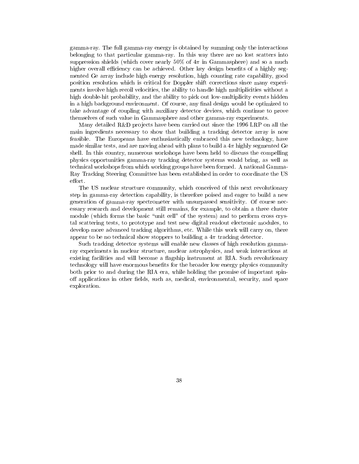gamma-ray. The full gamma-ray energy is obtained by summing only the interactions belonging to that particular gamma-ray. In this way there are no lost scatters into suppression shields (which cover nearly  $50\%$  of  $4\pi$  in Gammasphere) and so a much higher overall efficiency can be achieved. Other key design benefits of a highly segmented Ge array include high energy resolution, high counting rate capability, good position resolution which is critical for Doppler shift corrections since many experiments involve high recoil velocities, the ability to handle high multiplicities without a high double-hit probability, and the ability to pick out low-multiplicity events hidden in a high background environment. Of course, any final design would be optimized to take advantage of coupling with auxiliary detector devices, which continue to prove themselves of such value in Gammasphere and other gamma-ray experiments.

Many detailed  $R&D$  projects have been carried out since the 1996 LRP on all the main ingredients necessary to show that building a tracking detector array is now feasible. The Europeans have enthusiastically embraced this new technology, have made similar tests, and are moving ahead with plans to build a  $4\pi$  highly segmented Ge shell. In this country, numerous workshops have been held to discuss the compelling physics opportunities gamma-ray tracking detector systems would bring, as well as technical workshops from which working groups have been formed. A national Gamma-Ray Tracking Steering Committee has been established in order to coordinate the US effort.

The US nuclear structure community, which conceived of this next revolutionary step in gamma-ray detection capability, is therefore poised and eager to build a new generation of gamma-ray spectrometer with unsurpassed sensitivity. Of course necessary research and development still remains, for example, to obtain a three cluster module (which forms the basic "unit cell" of the system) and to perform cross crystal scattering tests, to prototype and test new digital readout electronic modules, to develop more advanced tracking algorithms, etc. While this work will carry on, there appear to be no technical show stoppers to building a  $4\pi$  tracking detector.

Such tracking detector systems will enable new classes of high resolution gammaray experiments in nuclear structure, nuclear astrophysics, and weak interactions at existing facilities and will become a flagship instrument at RIA. Such revolutionary technology will have enormous benets for the broader low energy physics community both prior to and during the RIA era, while holding the promise of important spinoff applications in other fields, such as, medical, environmental, security, and space exploration.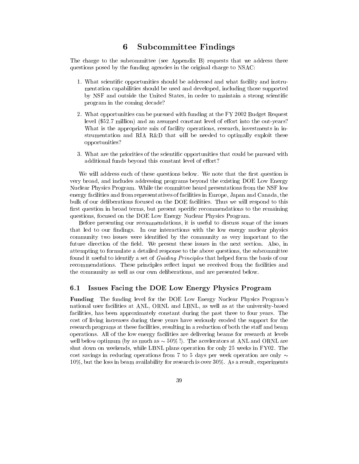### 6 Subcommittee Findings 6

The charge to the subcommittee (see Appendix B) requests that we address three questions posed by the funding agencies in the original charge to NSAC:

- 1. What scientic opportunities should be addressed and what facility and instrumentation capabilities should be used and developed, including those supported by NSF and outside the United States, in order to maintain a strong scientific program in the coming decade?
- 2. What opportunities can be pursued with funding at the FY 2002 Budget Request level (\$52.7 million) and an assumed constant level of effort into the out-years? What is the appropriate mix of facility operations, research, investments in instrumentation and RIA R&D that will be needed to optimally exploit these opportunities?
- 3. What are the priorities of the scientic opportunities that could be pursued with additional funds beyond this constant level of effort?

We will address each of these questions below. We note that the first question is very broad, and includes addressing programs beyond the existing DOE Low Energy Nuclear Physics Program. While the committee heard presentations from the NSF low energy facilities and from representatives of facilities in Europe, Japan and Canada, the bulk of our deliberations focused on the DOE facilities. Thus we will respond to this first question in broad terms, but present specific recommendations to the remaining questions, focused on the DOE Low Energy Nuclear Physics Program.

Before presenting our recommendations, it is useful to discuss some of the issues that led to our findings. In our interactions with the low energy nuclear physics community two issues were identied by the community as very important to the future direction of the field. We present these issues in the next section. Also, in attempting to formulate a detailed response to the above questions, the subcommittee found it useful to identify a set of *Guiding Principles* that helped form the basis of our recommendations. These principles reflect input we received from the facilities and the community as well as our own deliberations, and are presented below.

#### $6.1$ Issues Facing the DOE Low Energy Physics Program

Funding The funding level for the DOE Low Energy Nuclear Physics Program's national user facilities at ANL, ORNL and LBNL, as well as at the university-based facilities, has been approximately constant during the past three to four years. The cost of living increases during these years have seriously eroded the support for the research programs at these facilities, resulting in a reduction of both the staff and beam operations. All of the low energy facilities are delivering beams for research at levels well below optimum (by as much as  $\sim$  50% !). The accelerators at ANL and ORNL are shut down on weekends, while LBNL plans operation for only 25 weeks in FY02. The cost savings in reducing operations from 7 to 5 days per week operation are only  $\sim$ 10%, but the loss in beam availability for research is over 30%. As a result, experiments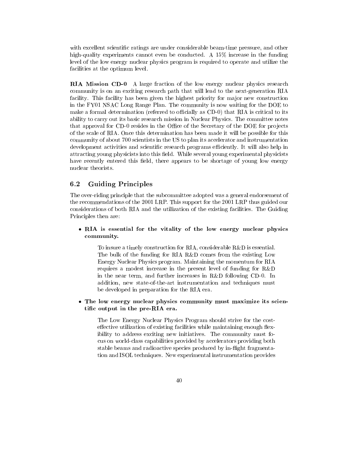with excellent scientific ratings are under considerable beam-time pressure, and other high-quality experiments cannot even be conducted. A 15% increase in the funding level of the low energy nuclear physics program is required to operate and utilize the facilities at the optimum level.

RIA Mission CD-0 A large fraction of the low energy nuclear physics research community is on an exciting research path that will lead to the next-generation RIA facility. This facility has been given the highest priority for major new construction in the FY01 NSAC Long Range Plan. The community is now waiting for the DOE to make a formal determination (referred to officially as CD-0) that RIA is critical to its ability to carry out its basic research mission in Nuclear Physics. The committee notes that approval for CD-0 resides in the Office of the Secretary of the DOE for projects of the scale of RIA. Once this determination has been made it will be possible for this community of about 700 scientists in the US to plan its accelerator and instrumentation development activities and scientific research programs efficiently. It will also help in attracting young physicists into this field. While several young experimental physicists have recently entered this field, there appears to be shortage of young low energy nuclear theorists.

### $6.2$ 6.2 Guiding Principles

The over-riding principle that the subcommittee adopted was a general endorsement of the recommendations of the 2001 LRP. This support for the 2001 LRP thus guided our considerations of both RIA and the utilization of the existing facilities. The Guiding Principles then are:

• RIA is essential for the vitality of the low energy nuclear physics community.

To insure a timely construction for RIA, considerable R&D is essential. The bulk of the funding for RIA R&D comes from the existing Low Energy Nuclear Physics program. Maintaining the momentum for RIA requires a modest increase in the present level of funding for R&D in the near term, and further increases in R&D following CD-0. In addition, new state-of-the-art instrumentation and techniques must be developed in preparation for the RIA era.

 The low energy nuclear physics community must maximize its scientic output in the pre-RIA era.

The Low Energy Nuclear Physics Program should strive for the costeffective utilization of existing facilities while maintaining enough flexibility to address exciting new initiatives. The community must focus on world-class capabilities provided by accelerators providing both stable beams and radioactive species produced by in-flight fragmentation and ISOL techniques. New experimental instrumentation provides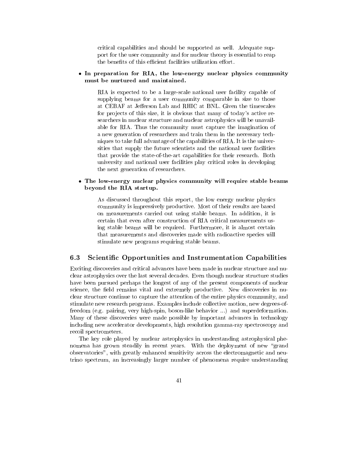critical capabilities and should be supported as well. Adequate support for the user community and for nuclear theory is essential to reap the benefits of this efficient facilities utilization effort.

## In preparation for RIA, the low-energy nuclear physics community must be nurtured and maintained.

RIA is expected to be a large-scale national user facility capable of supplying beams for a user community comparable in size to those at CEBAF at Jefferson Lab and RHIC at BNL. Given the timescales for projects of this size, it is obvious that many of today's active researchers in nuclear structure and nuclear astrophysics will be unavailable for RIA. Thus the community must capture the imagination of a new generation of researchers and train them in the necessary techniques to take full advantage of the capabilities of RIA. It is the universities that supply the future scientists and the national user facilities that provide the state-of-the-art capabilities for their research. Both university and national user facilities play critical roles in developing the next generation of researchers.

# The low-energy nuclear physics community will require stable beams beyond the RIA startup.

As discussed throughout this report, the low energy nuclear physics community is impressively productive. Most of their results are based on measurements carried out using stable beams. In addition, it is certain that even after construction of RIA critical measurements using stable beams will be required. Furthermore, it is almost certain that measurements and discoveries made with radioactive species will stimulate new programs requiring stable beams.

# 6.3 Scientic Opportunities and Instrumentation Capabilities

Exciting discoveries and critical advances have been made in nuclear structure and nuclear astrophysics over the last several decades. Even though nuclear structure studies have been pursued perhaps the longest of any of the present components of nuclear science, the field remains vital and extremely productive. New discoveries in nuclear structure continue to capture the attention of the entire physics community, and stimulate new research programs. Examples include collective motion, new degrees-offreedom (e.g. pairing, very high-spin, boson-like behavior ...) and superdeformation. Many of these discoveries were made possible by important advances in technology including new accelerator developments, high resolution gamma-ray spectroscopy and recoil spectrometers.

The key role played by nuclear astrophysics in understanding astrophysical phenomena has grown steadily in recent years. With the deployment of new "grand observatories", with greatly enhanced sensitivity across the electromagnetic and neutrino spectrum, an increasingly larger number of phenomena require understanding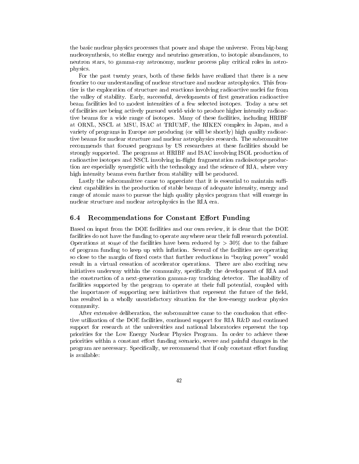the basic nuclear physics processes that power and shape the universe. From big-bang nucleosynthesis, to stellar energy and neutrino generation, to isotopic abundances, to neutron stars, to gamma-ray astronomy, nuclear process play critical roles in astrophysics.

For the past twenty years, both of these fields have realized that there is a new frontier to our understanding of nuclear structure and nuclear astrophysics. This frontier is the exploration of structure and reactions involving radioactive nuclei far from the valley of stability. Early, successful, developments of first generation radioactive beam facilities led to modest intensities of a few selected isotopes. Today a new set of facilities are being actively pursued world-wide to produce higher intensity radioactive beams for a wide range of isotopes. Many of these facilities, including HRIBF at ORNL, NSCL at MSU, ISAC at TRIUMF, the RIKEN complex in Japan, and a variety of programs in Europe are producing (or will be shortly) high quality radioactive beams for nuclear structure and nuclear astrophysics research. The subcommittee recommends that focused programs by US researchers at these facilities should be strongly supported. The programs at HRIBF and ISAC involving ISOL production of radioactive isotopes and NSCL involving in-flight fragmentation radioisotope production are especially synergistic with the technology and the science of RIA, where very high intensity beams even further from stability will be produced.

Lastly the subcommittee came to appreciate that it is essential to maintain sufficient capabilities in the production of stable beams of adequate intensity, energy and range of atomic mass to pursue the high quality physics program that will emerge in nuclear structure and nuclear astrophysics in the RIA era.

#### Recommendations for Constant Effort Funding  $6.4\,$

Based on input from the DOE facilities and our own review, it is clear that the DOE facilities do not have the funding to operate anywhere near their full research potential. Operations at some of the facilities have been reduced by  $>$  30% due to the failure of program funding to keep up with in
ation. Several of the facilities are operating so close to the margin of fixed costs that further reductions in "buying power" would result in a virtual cessation of accelerator operations. There are also exciting new initiatives underway within the community, specically the development of RIA and the construction of a next-generation gamma-ray tracking detector. The inability of facilities supported by the program to operate at their full potential, coupled with the importance of supporting new initiatives that represent the future of the field, has resulted in a wholly unsatisfactory situation for the low-energy nuclear physics community.

After extensive deliberation, the subcommittee came to the conclusion that effective utilization of the DOE facilities, continued support for RIA R&D and continued support for research at the universities and national laboratories represent the top priorities for the Low Energy Nuclear Physics Program. In order to achieve these priorities within a constant effort funding scenario, severe and painful changes in the program are necessary. Specifically, we recommend that if only constant effort funding is available: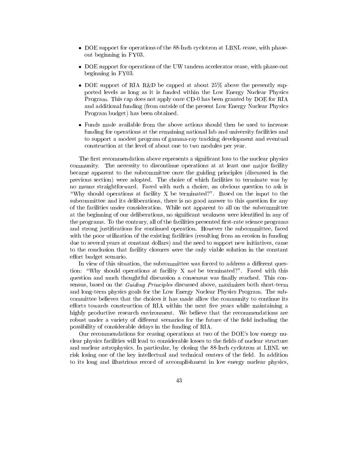- DOE support for operations of the 88-Inch cyclotron at LBNL cease, with phaseout beginning in FY03.
- DOE support for operations of the UW tandem accelerator cease, with phase-out beginning in FY03.
- DOE support of RIA R&D be capped at about 25% above the presently supported levels as long as it is funded within the Low Energy Nuclear Physics Program. This cap does not apply once CD-0 has been granted by DOE for RIA and additional funding (from outside of the present Low Energy Nuclear Physics Program budget) has been obtained.
- Funds made available from the above actions should then be used to increase funding for operations at the remaining national lab and university facilities and to support a modest program of gamma-ray tracking development and eventual construction at the level of about one to two modules per year.

The first recommendation above represents a significant loss to the nuclear physics community. The necessity to discontinue operations at at least one major facility became apparent to the subcommittee once the guiding principles (discussed in the previous section) were adopted. The choice of which facilities to terminate was by no means straightforward. Faced with such a choice, an obvious question to ask is "Why should operations at facility  $X$  be terminated?". Based on the input to the subcommittee and its deliberations, there is no good answer to this question for any of the facilities under consideration. While not apparent to all on the subcommittee at the beginning of our deliberations, no significant weakness were identified in any of the programs. To the contrary, all of the facilities presented first-rate science programs and strong justications for continued operation. However the subcommittee, faced with the poor utilization of the existing facilities (resulting from an erosion in funding due to several years at constant dollars) and the need to support new initiatives, came to the conclusion that facility closures were the only viable solution in the constant effort budget scenario.

In view of this situation, the subcommittee was forced to address a different question: "Why should operations at facility X not be terminated?". Faced with this question and much thoughtful discussion a consensus was finally reached. This consensus, based on the Guiding Principles discussed above, maximizes both short-term and long-term physics goals for the Low Energy Nuclear Physics Program. The subcommittee believes that the choices it has made allow the community to continue its efforts towards construction of RIA within the next five years while maintaining a highly productive research environment. We believe that the recommendations are robust under a variety of different scenarios for the future of the field including the possibility of considerable delays in the funding of RIA.

Our recommendations for ceasing operations at two of the DOE's low energy nuclear physics facilities will lead to considerable losses to the fields of nuclear structure and nuclear astrophysics. In particular, by closing the 88-Inch cyclotron at LBNL we risk losing one of the key intellectual and technical centers of the field. In addition to its long and illustrious record of accomplishment in low energy nuclear physics,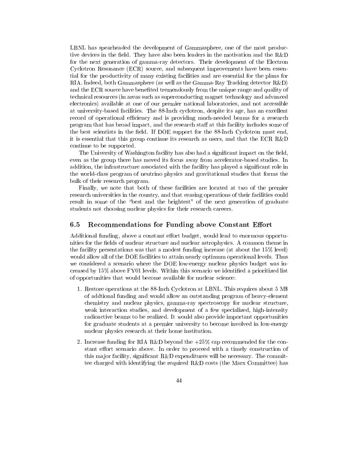LBNL has spearheaded the development of Gammasphere, one of the most productive devices in the field. They have also been leaders in the motivation and the  $R&D$ for the next generation of gamma-ray detectors. Their development of the Electron Cyclotron Resonance (ECR) source, and subsequent improvements have been essential for the productivity of many existing facilities and are essential for the plans for RIA. Indeed, both Gammasphere (as well as the Gamma-Ray Tracking detector R&D) and the ECR source have benefited tremendously from the unique range and quality of technical resources (in areas such as superconducting magnet technology and advanced electronics) available at one of our premier national laboratories, and not accessible at university-based facilities. The 88-Inch cyclotron, despite its age, has an excellent record of operational efficiency and is providing much-needed beams for a research program that has broad impact, and the research staff at this facility includes some of the best scientists in the field. If DOE support for the 88-Inch Cyclotron must end, it is essential that this group continue its research as users, and that the ECR R&D continue to be supported.

The University of Washington facility has also had a significant impact on the field, even as the group there has moved its focus away from accelerator-based studies. In addition, the infrastructure associated with the facility has played a signicant role in the world-class program of neutrino physics and gravitational studies that forms the bulk of their research program.

Finally, we note that both of these facilities are located at two of the premier research universities in the country, and that ceasing operations of their facilities could result in some of the "best and the brightest" of the next generation of graduate students not choosing nuclear physics for their research careers.

#### Recommendations for Funding above Constant Effort  $6.5\,$

Additional funding, above a constant effort budget, would lead to enormous opportunities for the fields of nuclear structure and nuclear astrophysics. A common theme in the facility presentations was that a modest funding increase (at about the 15% level) would allow all of the DOE facilities to attain nearly optimum operational levels. Thus we considered a scenario where the DOE low-energy nuclear physics budget was increased by 15% above FY01 levels. Within this scenario we identied a prioritized list of opportunities that would become available for nuclear science:

- 1. Restore operations at the 88-Inch Cyclotron at LBNL. This requires about 5 M\$ of addtional funding and would allow an outstanding program of heavy-element chemistry and nuclear physics, gamma-ray spectroscopy for nuclear structure, weak interaction studies, and development of a few specialized, high-intensity radioactive beams to be realized. It would also provide important opportunities for graduate students at a premier university to become involved in low-energy nuclear physics research at their home institution.
- 2. Increase funding for RIA R&D beyond the +25% cap recommended for the constant effort scenario above. In order to proceed with a timely construction of this major facility, significant  $R\&D$  expenditures will be necessary. The committee charged with identifying the required R&D costs (the Marx Committee) has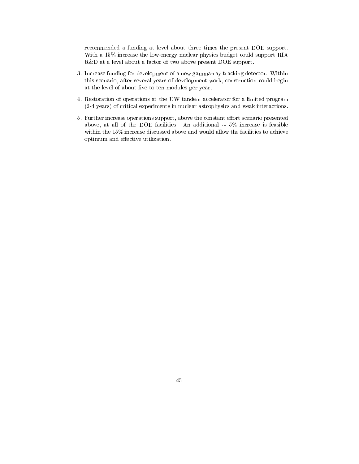recommended a funding at level about three times the present DOE support. With a 15% increase the low-energy nuclear physics budget could support RIA R&D at a level about a factor of two above present DOE support.

- 3. Increase funding for development of a new gamma-ray tracking detector. Within this scenario, after several years of development work, construction could begin at the level of about five to ten modules per year.
- 4. Restoration of operations at the UW tandem accelerator for a limited program (2-4 years) of critical experiments in nuclear astrophysics and weak interactions.
- 5. Further increase operations support, above the constant effort scenario presented above, at all of the DOE facilities. An additional  $\sim$  5% increase is feasible within the 15% increase discussed above and would allow the facilities to achieve optimum and effective utilization.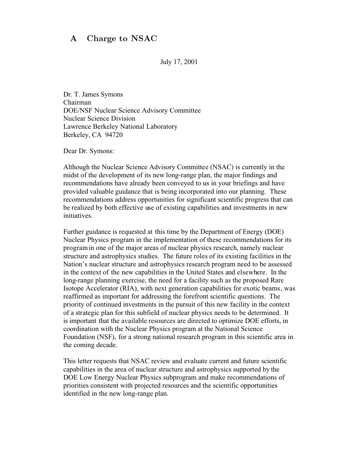### $\mathbf{A}$ Charge to NSAC

July 17, 2001

Dr. T. James Symons Chairman DOE/NSF Nuclear Science Advisory Committee Nuclear Science Division Lawrence Berkeley National Laboratory Berkeley, CA 94720

Dear Dr. Symons:

Although the Nuclear Science Advisory Committee (NSAC) is currently in the midst of the development of its new long-range plan, the major findings and recommendations have already been conveyed to us in your briefings and have provided valuable guidance that is being incorporated into our planning. These recommendations address opportunities for significant scientific progress that can be realized by both effective use of existing capabilities and investments in new initiatives.

Further guidance is requested at this time by the Department of Energy (DOE) Nuclear Physics program in the implementation of these recommendations for its program in one of the major areas of nuclear physics research, namely nuclear structure and astrophysics studies. The future roles of its existing facilities in the Nation's nuclear structure and astrophysics research program need to be assessed in the context of the new capabilities in the United States and elsewhere. In the long-range planning exercise, the need for a facility such as the proposed Rare Isotope Accelerator (RIA), with next generation capabilities for exotic beams, was reaffirmed as important for addressing the forefront scientific questions. The priority of continued investments in the pursuit of this new facility in the context of a strategic plan for this subfield of nuclear physics needs to be determined. It is important that the available resources are directed to optimize DOE efforts, in coordination with the Nuclear Physics program at the National Science Foundation (NSF), for a strong national research program in this scientific area in the coming decade.

This letter requests that NSAC review and evaluate current and future scientific capabilities in the area of nuclear structure and astrophysics supported by the DOE Low Energy Nuclear Physics subprogram and make recommendations of priorities consistent with projected resources and the scientific opportunities identified in the new long-range plan.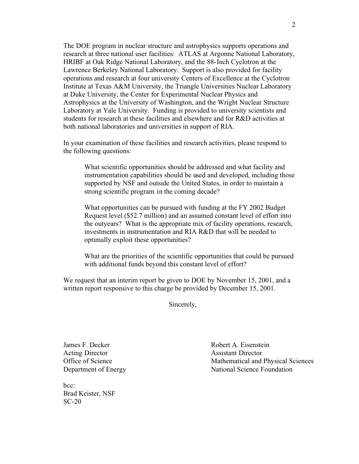The DOE program in nuclear structure and astrophysics supports operations and research at three national user facilities: ATLAS at Argonne National Laboratory, HRIBF at Oak Ridge National Laboratory, and the 88-Inch Cyclotron at the Lawrence Berkeley National Laboratory. Support is also provided for facility operations and research at four university Centers of Excellence at the Cyclotron Institute at Texas A&M University, the Triangle Universities Nuclear Laboratory at Duke University, the Center for Experimental Nuclear Physics and Astrophysics at the University of Washington, and the Wright Nuclear Structure Laboratory at Yale University. Funding is provided to university scientists and students for research at these facilities and elsewhere and for R&D activities at both national laboratories and universities in support of RIA.

In your examination of these facilities and research activities, please respond to the following questions:

What scientific opportunities should be addressed and what facility and instrumentation capabilities should be used and developed, including those supported by NSF and outside the United States, in order to maintain a strong scientific program in the coming decade?

What opportunities can be pursued with funding at the FY 2002 Budget Request level (\$52.7 million) and an assumed constant level of effort into the outyears? What is the appropriate mix of facility operations, research, investments in instrumentation and RIA R&D that will be needed to optimally exploit these opportunities?

What are the priorities of the scientific opportunities that could be pursued with additional funds beyond this constant level of effort?

We request that an interim report be given to DOE by November 15, 2001, and a written report responsive to this charge be provided by December 15, 2001.

Sincerely,

Acting Director<br>
Office of Science<br>
Mathematical and

 $bcc.$ Brad Keister, NSF SC-20

James F. Decker Robert A. Eisenstein Mathematical and Physical Sciences Department of Energy National Science Foundation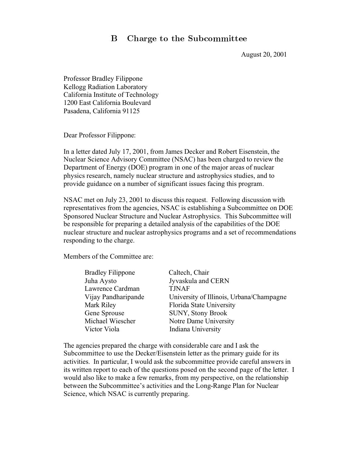### B. Charge to the Subcommittee

August 20, 2001

Professor Bradley Filippone Kellogg Radiation Laboratory California Institute of Technology 1200 East California Boulevard Pasadena, California 91125

Dear Professor Filippone:

In a letter dated July 17, 2001, from James Decker and Robert Eisenstein, the Nuclear Science Advisory Committee (NSAC) has been charged to review the Department of Energy (DOE) program in one of the major areas of nuclear physics research, namely nuclear structure and astrophysics studies, and to provide guidance on a number of significant issues facing this program.

NSAC met on July 23, 2001 to discuss this request. Following discussion with representatives from the agencies, NSAC is establishing a Subcommittee on DOE Sponsored Nuclear Structure and Nuclear Astrophysics. This Subcommittee will be responsible for preparing a detailed analysis of the capabilities of the DOE nuclear structure and nuclear astrophysics programs and a set of recommendations responding to the charge.

Members of the Committee are:

| <b>Bradley Filippone</b> | Caltech, Chair                           |
|--------------------------|------------------------------------------|
| Juha Aysto               | Jyvaskula and CERN                       |
| Lawrence Cardman         | <b>TJNAF</b>                             |
| Vijay Pandharipande      | University of Illinois, Urbana/Champagne |
| Mark Riley               | Florida State University                 |
| Gene Sprouse             | SUNY, Stony Brook                        |
| Michael Wiescher         | Notre Dame University                    |
| Victor Viola             | Indiana University                       |
|                          |                                          |

The agencies prepared the charge with considerable care and I ask the Subcommittee to use the Decker/Eisenstein letter as the primary guide for its activities. In particular, I would ask the subcommittee provide careful answers in its written report to each of the questions posed on the second page of the letter. I would also like to make a few remarks, from my perspective, on the relationship between the Subcommittee's activities and the Long-Range Plan for Nuclear Science, which NSAC is currently preparing.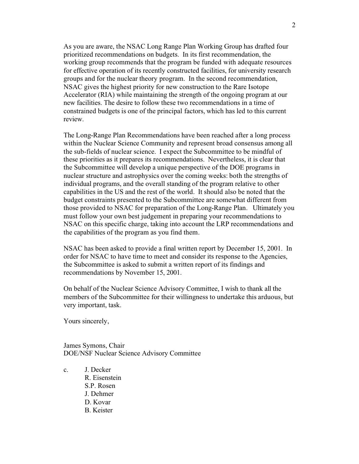As you are aware, the NSAC Long Range Plan Working Group has drafted four prioritized recommendations on budgets. In its first recommendation, the working group recommends that the program be funded with adequate resources for effective operation of its recently constructed facilities, for university research groups and for the nuclear theory program. In the second recommendation, NSAC gives the highest priority for new construction to the Rare Isotope Accelerator (RIA) while maintaining the strength of the ongoing program at our new facilities. The desire to follow these two recommendations in a time of constrained budgets is one of the principal factors, which has led to this current review.

The Long-Range Plan Recommendations have been reached after a long process within the Nuclear Science Community and represent broad consensus among all the sub-fields of nuclear science. I expect the Subcommittee to be mindful of these priorities as it prepares its recommendations. Nevertheless, it is clear that the Subcommittee will develop a unique perspective of the DOE programs in nuclear structure and astrophysics over the coming weeks: both the strengths of individual programs, and the overall standing of the program relative to other capabilities in the US and the rest of the world. It should also be noted that the budget constraints presented to the Subcommittee are somewhat different from those provided to NSAC for preparation of the Long-Range Plan. Ultimately you must follow your own best judgement in preparing your recommendations to NSAC on this specific charge, taking into account the LRP recommendations and the capabilities of the program as you find them.

NSAC has been asked to provide a final written report by December 15, 2001. In order for NSAC to have time to meet and consider its response to the Agencies, the Subcommittee is asked to submit a written report of its findings and recommendations by November 15, 2001.

On behalf of the Nuclear Science Advisory Committee, I wish to thank all the members of the Subcommittee for their willingness to undertake this arduous, but very important, task.

Yours sincerely,

James Symons, Chair DOE/NSF Nuclear Science Advisory Committee

c. J. Decker R. Eisenstein S.P. Rosen J. Dehmer D. Kovar B. Keister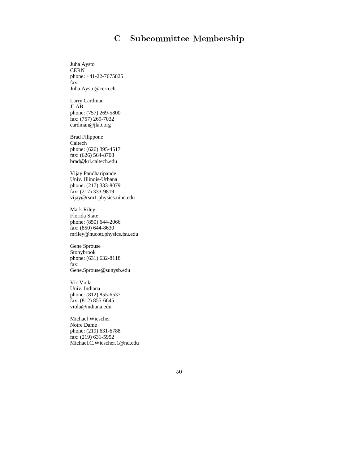# C Subcommittee Membership

Juha Aysto **CERN** phone: +41-22-7675825 fax: Juha.Aysto@cern.ch

Larry Cardman JLAB phone: (757) 269-5800 fax: (757) 269-7032 cardman@jlab.org

Brad Filippone Caltech phone: (626) 395-4517 fax: (626) 564-8708 brad@krl.caltech.edu

Vijay Pandharipande Univ. Illinois-Urbana phone: (217) 333-8079 fax: (217) 333-9819 vijay@rsm1.physics.uiuc.edu

Mark Riley Florida State phone: (850) 644-2066 fax: (850) 644-8630 mriley@nucott.physics.fsu.edu

Gene Sprouse Stonybrook phone: (631) 632-8118 fax: Gene.Sprouse@sunysb.edu

Vic Viola Univ. Indiana phone: (812) 855-6537 fax: (812) 855-6645 viola@indiana.edu

Michael Wiescher Notre Dame phone: (219) 631-6788 fax: (219) 631-5952 Michael.C.Wiescher.1@nd.edu

50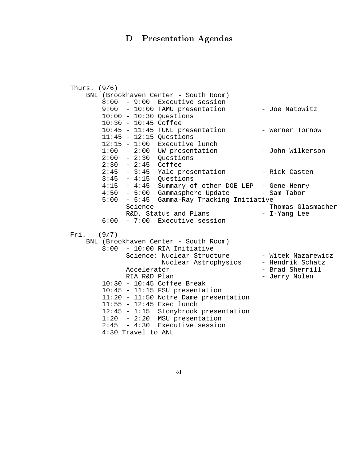# D Presentation Agendas

| Thurs. $(9/6)$                                         |                     |  |  |
|--------------------------------------------------------|---------------------|--|--|
| BNL (Brookhaven Center - South Room)                   |                     |  |  |
| $8:00 - 9:00$ Executive session                        |                     |  |  |
| $9:00 - 10:00$ TAMU presentation                       | - Joe Natowitz      |  |  |
| $10:00 - 10:30$ Questions                              |                     |  |  |
| $10:30 - 10:45$ Coffee                                 |                     |  |  |
| 10:45 - 11:45 TUNL presentation                        | - Werner Tornow     |  |  |
| $11:45 - 12:15$ Questions                              |                     |  |  |
| $12:15 - 1:00$ Executive lunch                         |                     |  |  |
| $1:00 - 2:00$ UW presentation                          | - John Wilkerson    |  |  |
| $2:00 - 2:30$ Questions                                |                     |  |  |
| $2:30 - 2:45$ Coffee                                   |                     |  |  |
| $2:45 - 3:45$ Yale presentation                        | - Rick Casten       |  |  |
| $3:45 - 4:15$ Questions                                |                     |  |  |
| $4:15 - 4:45$<br>Summary of other DOE LEP - Gene Henry |                     |  |  |
| 4:50 - 5:00 Gammasphere Update - Sam Tabor             |                     |  |  |
| $5:00 - 5:45$<br>Gamma-Ray Tracking Initiative         |                     |  |  |
| Science                                                | - Thomas Glasmacher |  |  |
| R&D, Status and Plans                                  | - I-Yang Lee        |  |  |
| $6:00 - 7:00$ Executive session                        |                     |  |  |
|                                                        |                     |  |  |
| $Fri.$ (9/7)                                           |                     |  |  |
| BNL (Brookhaven Center - South Room)                   |                     |  |  |
| $8:00 - 10:00$ RIA Initiative                          |                     |  |  |
| Science: Nuclear Structure                             | - Witek Nazarewicz  |  |  |
| Nuclear Astrophysics                                   | - Hendrik Schatz    |  |  |
| Accelerator                                            | - Brad Sherrill     |  |  |
| RIA R&D Plan                                           | - Jerry Nolen       |  |  |
| $10:30 - 10:45$ Coffee Break                           |                     |  |  |
| $10:45 - 11:15$ FSU presentation                       |                     |  |  |
| $11:20 - 11:50$ Notre Dame presentation                |                     |  |  |
| $11:55 - 12:45$ Exec lunch                             |                     |  |  |
| 12:45 - 1:15 Stonybrook presentation                   |                     |  |  |
| $1:20 - 2:20$ MSU presentation                         |                     |  |  |
| $2:45 - 4:30$ Executive session                        |                     |  |  |
| 4:30 Travel to ANL                                     |                     |  |  |

51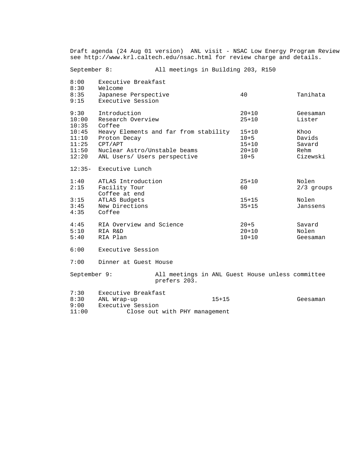Draft agenda (24 Aug 01 version) ANL visit - NSAC Low Energy Program Review see http://www.krl.caltech.edu/nsac.html for review charge and details.

September 8: All meetings in Building 203, R150 8:00 Executive Breakfast

| 8:30<br>8:35<br>9:15                      | Welcome<br>Japanese Perspective<br>Executive Session                                                                             | 40                                                          | Tanihata                                     |
|-------------------------------------------|----------------------------------------------------------------------------------------------------------------------------------|-------------------------------------------------------------|----------------------------------------------|
| 9:30<br>10:00<br>10:35                    | Introduction<br>Research Overview<br>Coffee                                                                                      | $20 + 10$<br>$25 + 10$                                      | Geesaman<br>Lister                           |
| 10:45<br>11:10<br>11:25<br>11:50<br>12:20 | Heavy Elements and far from stability<br>Proton Decay<br>CPT/APT<br>Nuclear Astro/Unstable beams<br>ANL Users/ Users perspective | $15 + 10$<br>$10 + 5$<br>$15 + 10$<br>$20 + 10$<br>$10 + 5$ | Khoo<br>Davids<br>Savard<br>Rehm<br>Cizewski |
| $12:35-$                                  | Executive Lunch                                                                                                                  |                                                             |                                              |
| 1:40<br>2:15                              | ATLAS Introduction<br>Facility Tour<br>Coffee at end                                                                             | $25 + 10$<br>60                                             | Nolen<br>$2/3$ groups                        |
| 3:15<br>3:45<br>4:35                      | ATLAS Budgets<br>New Directions<br>Coffee                                                                                        | $15 + 15$<br>$35 + 15$                                      | Nolen<br>Janssens                            |
| 4:45<br>5:10<br>5:40                      | RIA Overview and Science<br>RIA R&D<br>RIA Plan                                                                                  | $20 + 5$<br>$20 + 10$<br>$10 + 10$                          | Savard<br>Nolen<br>Geesaman                  |
| 6:00                                      | Executive Session                                                                                                                |                                                             |                                              |

7:00 Dinner at Guest House

September 9: All meetings in ANL Guest House unless committee prefers 203.

| 7:30  | Executive Breakfast |                               |          |
|-------|---------------------|-------------------------------|----------|
| 8:30  | ANL Wrap-up         | $15 + 15$                     | Geesaman |
| 9:00  | Executive Session   |                               |          |
| 11:00 |                     | Close out with PHY management |          |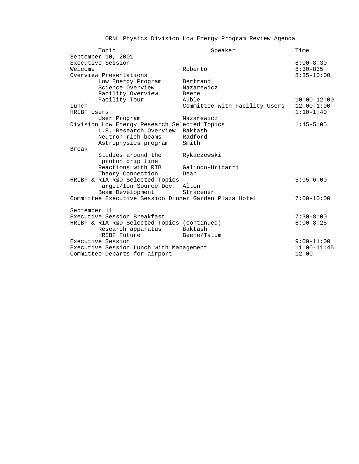# ORNL Physics Division Low Energy Program Review Agenda

| Topic                                                 | Speaker                       | Time            |
|-------------------------------------------------------|-------------------------------|-----------------|
| September 10, 2001                                    |                               |                 |
| Executive Session                                     |                               | $8:00 - 8:30$   |
| Welcome                                               | Roberto                       | $8:30-835$      |
| Overview Presentations                                |                               | $8:35 - 10:00$  |
| Low Energy Program                                    | Bertrand                      |                 |
| Science Overview                                      | Nazarewicz                    |                 |
| Facility Overview                                     | Beene                         |                 |
| Facility Tour                                         | Auble                         | $10:00 - 12:00$ |
| Lunch                                                 | Committee with Facility Users | $12:00 - 1:00$  |
| HRIBF Users                                           |                               | $1:10-1:40$     |
| User Program                                          | Nazarewicz                    |                 |
| Division Low Energy Research Selected Topics          |                               | $1:45-5:05$     |
| L.E. Research Overview                                | Baktash                       |                 |
| Neutron-rich beams                                    | Radford                       |                 |
| Astrophysics program                                  | Smith                         |                 |
| Break                                                 |                               |                 |
| Studies around the                                    | Rykaczewski                   |                 |
| proton drip line                                      |                               |                 |
| Reactions with RIB                                    | Galindo-Uribarri              |                 |
| Theory Connection                                     | Dean                          |                 |
| HRIBF & RIA R&D Selected Topics                       |                               | $5:05-6:00$     |
| Target/Ion Source Dev. Alton                          |                               |                 |
| Beam Development                                      | Stracener                     |                 |
| Committee Executive Session Dinner Garden Plaza Hotel |                               | $7:00 - 10:00$  |
|                                                       |                               |                 |
| September 11                                          |                               |                 |
| Executive Session Breakfast                           |                               | $7:30-8:00$     |
| HRIBF & RIA R&D Selected Topics (continued)           |                               | $8:00 - 8:25$   |
| Research apparatus                                    | Baktash                       |                 |
| HRIBF Future                                          | Beene/Tatum                   |                 |
| Executive Session                                     |                               | $9:00-11:00$    |
| Executive Session Lunch with Management               |                               | $11:00-11:45$   |
| Committee Departs for airport                         |                               | 12:00           |